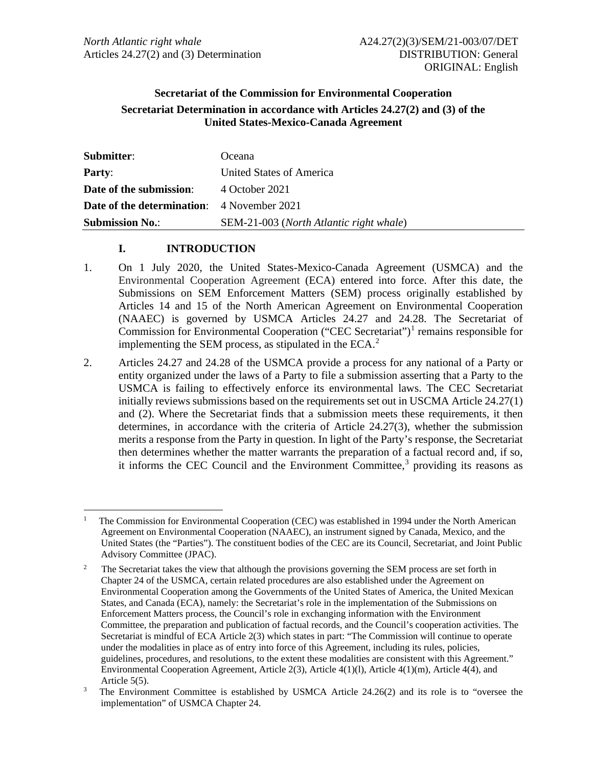# **Secretariat of the Commission for Environmental Cooperation Secretariat Determination in accordance with Articles 24.27(2) and (3) of the United States-Mexico-Canada Agreement**

| Submitter:                                        | Oceana                                  |
|---------------------------------------------------|-----------------------------------------|
| <b>Party:</b>                                     | United States of America                |
| Date of the submission:                           | 4 October 2021                          |
| <b>Date of the determination:</b> 4 November 2021 |                                         |
| <b>Submission No.:</b>                            | SEM-21-003 (North Atlantic right whale) |

### **I. INTRODUCTION**

- 1. On 1 July 2020, the United States-Mexico-Canada Agreement (USMCA) and the Environmental Cooperation Agreement (ECA) entered into force. After this date, the Submissions on SEM Enforcement Matters (SEM) process originally established by Articles 14 and 15 of the North American Agreement on Environmental Cooperation (NAAEC) is governed by USMCA Articles 24.27 and 24.28. The Secretariat of Commission for Environmental Cooperation ("CEC Secretariat")<sup>[1](#page-0-0)</sup> remains responsible for implementing the SEM process, as stipulated in the ECA. $2$
- 2. Articles 24.27 and 24.28 of the USMCA provide a process for any national of a Party or entity organized under the laws of a Party to file a submission asserting that a Party to the USMCA is failing to effectively enforce its environmental laws. The CEC Secretariat initially reviews submissions based on the requirements set out in USCMA Article 24.27(1) and (2). Where the Secretariat finds that a submission meets these requirements, it then determines, in accordance with the criteria of Article 24.27(3), whether the submission merits a response from the Party in question. In light of the Party's response, the Secretariat then determines whether the matter warrants the preparation of a factual record and, if so, it informs the CEC Council and the Environment Committee, $3$  providing its reasons as

<span id="page-0-0"></span><sup>1</sup> The Commission for Environmental Cooperation (CEC) was established in 1994 under the North American Agreement on Environmental Cooperation (NAAEC), an instrument signed by Canada, Mexico, and the United States (the "Parties"). The constituent bodies of the CEC are its Council, Secretariat, and Joint Public Advisory Committee (JPAC).

<span id="page-0-1"></span><sup>2</sup> The Secretariat takes the view that although the provisions governing the SEM process are set forth in Chapter 24 of the USMCA, certain related procedures are also established under the Agreement on Environmental Cooperation among the Governments of the United States of America, the United Mexican States, and Canada (ECA), namely: the Secretariat's role in the implementation of the Submissions on Enforcement Matters process, the Council's role in exchanging information with the Environment Committee, the preparation and publication of factual records, and the Council's cooperation activities. The Secretariat is mindful of ECA Article 2(3) which states in part: "The Commission will continue to operate under the modalities in place as of entry into force of this Agreement, including its rules, policies, guidelines, procedures, and resolutions, to the extent these modalities are consistent with this Agreement." Environmental Cooperation Agreement, Article 2(3), Article 4(1)(l), Article 4(1)(m), Article 4(4), and Article 5(5).

<span id="page-0-2"></span><sup>3</sup> The Environment Committee is established by USMCA Article 24.26(2) and its role is to "oversee the implementation" of USMCA Chapter 24.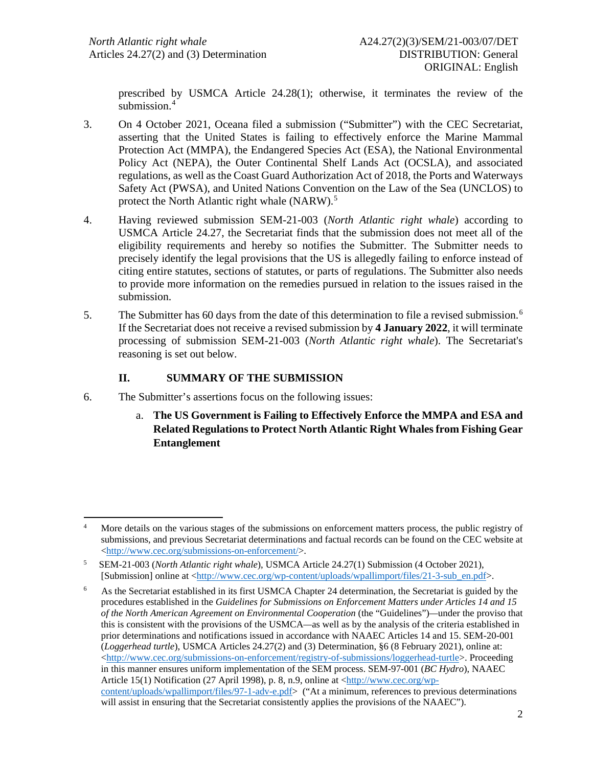prescribed by USMCA Article 24.28(1); otherwise, it terminates the review of the submission.<sup>[4](#page-1-0)</sup>

- 3. On 4 October 2021, Oceana filed a submission ("Submitter") with the CEC Secretariat, asserting that the United States is failing to effectively enforce the Marine Mammal Protection Act (MMPA), the Endangered Species Act (ESA), the National Environmental Policy Act (NEPA), the Outer Continental Shelf Lands Act (OCSLA), and associated regulations, as well as the Coast Guard Authorization Act of 2018, the Ports and Waterways Safety Act (PWSA), and United Nations Convention on the Law of the Sea (UNCLOS) to protect the North Atlantic right whale (NARW).<sup>[5](#page-1-1)</sup>
- 4. Having reviewed submission SEM-21-003 (*North Atlantic right whale*) according to USMCA Article 24.27, the Secretariat finds that the submission does not meet all of the eligibility requirements and hereby so notifies the Submitter. The Submitter needs to precisely identify the legal provisions that the US is allegedly failing to enforce instead of citing entire statutes, sections of statutes, or parts of regulations. The Submitter also needs to provide more information on the remedies pursued in relation to the issues raised in the submission.
- 5. The Submitter has 60 days from the date of this determination to file a revised submission.[6](#page-1-2) If the Secretariat does not receive a revised submission by **4 January 2022**, it will terminate processing of submission SEM-21-003 (*North Atlantic right whale*). The Secretariat's reasoning is set out below.

# **II. SUMMARY OF THE SUBMISSION**

- 6. The Submitter's assertions focus on the following issues:
	- a. **The US Government is Failing to Effectively Enforce the MMPA and ESA and Related Regulationsto Protect North Atlantic Right Whales from Fishing Gear Entanglement**

<span id="page-1-0"></span><sup>&</sup>lt;sup>4</sup> More details on the various stages of the submissions on enforcement matters process, the public registry of submissions, and previous Secretariat determinations and factual records can be found on the CEC website at [<http://www.cec.org/submissions-on-enforcement/>](http://www.cec.org/submissions-on-enforcement/).

<span id="page-1-1"></span><sup>5</sup> SEM-21-003 (*North Atlantic right whale*), USMCA Article 24.27(1) Submission (4 October 2021), [Submission] online at [<http://www.cec.org/wp-content/uploads/wpallimport/files/21-3-sub\\_en.pdf>](http://www.cec.org/wp-content/uploads/wpallimport/files/21-3-sub_en.pdf).

<span id="page-1-2"></span><sup>6</sup> As the Secretariat established in its first USMCA Chapter 24 determination, the Secretariat is guided by the procedures established in the *Guidelines for Submissions on Enforcement Matters under Articles 14 and 15 of the North American Agreement on Environmental Cooperation* (the "Guidelines")*—*under the proviso that this is consistent with the provisions of the USMCA*—*as well as by the analysis of the criteria established in prior determinations and notifications issued in accordance with NAAEC Articles 14 and 15. SEM-20-001 (*Loggerhead turtle*), USMCA Articles 24.27(2) and (3) Determination, §6 (8 February 2021), online at: [<http://www.cec.org/submissions-on-enforcement/registry-of-submissions/loggerhead-turtle>](http://www.cec.org/submissions-on-enforcement/registry-of-submissions/loggerhead-turtle). Proceeding in this manner ensures uniform implementation of the SEM process. SEM-97-001 (*BC Hydro*), NAAEC Article 15(1) Notification (27 April 1998), p. 8, n.9, online at [<http://www.cec.org/wp](http://www.cec.org/wp-content/uploads/wpallimport/files/97-1-adv-e.pdf)[content/uploads/wpallimport/files/97-1-adv-e.pdf>](http://www.cec.org/wp-content/uploads/wpallimport/files/97-1-adv-e.pdf) ("At a minimum, references to previous determinations will assist in ensuring that the Secretariat consistently applies the provisions of the NAAEC").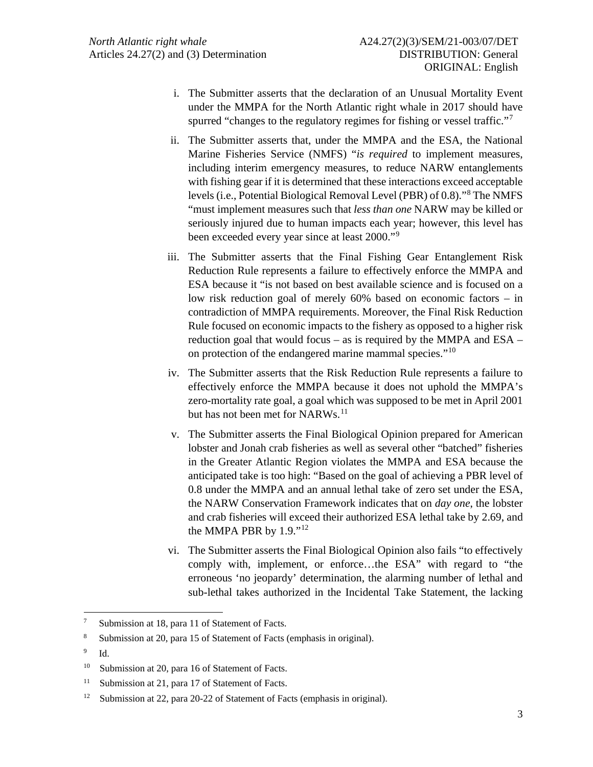- i. The Submitter asserts that the declaration of an Unusual Mortality Event under the MMPA for the North Atlantic right whale in 2017 should have spurred "changes to the regulatory regimes for fishing or vessel traffic."<sup>[7](#page-2-0)</sup>
- ii. The Submitter asserts that, under the MMPA and the ESA, the National Marine Fisheries Service (NMFS) "*is required* to implement measures, including interim emergency measures, to reduce NARW entanglements with fishing gear if it is determined that these interactions exceed acceptable levels (i.e., Potential Biological Removal Level (PBR) of 0.8)."[8](#page-2-1) The NMFS "must implement measures such that *less than one* NARW may be killed or seriously injured due to human impacts each year; however, this level has been exceeded every year since at least 2000."[9](#page-2-2)
- iii. The Submitter asserts that the Final Fishing Gear Entanglement Risk Reduction Rule represents a failure to effectively enforce the MMPA and ESA because it "is not based on best available science and is focused on a low risk reduction goal of merely 60% based on economic factors – in contradiction of MMPA requirements. Moreover, the Final Risk Reduction Rule focused on economic impacts to the fishery as opposed to a higher risk reduction goal that would focus – as is required by the MMPA and ESA – on protection of the endangered marine mammal species."[10](#page-2-3)
- iv. The Submitter asserts that the Risk Reduction Rule represents a failure to effectively enforce the MMPA because it does not uphold the MMPA's zero-mortality rate goal, a goal which was supposed to be met in April 2001 but has not been met for NARWs.<sup>[11](#page-2-4)</sup>
- v. The Submitter asserts the Final Biological Opinion prepared for American lobster and Jonah crab fisheries as well as several other "batched" fisheries in the Greater Atlantic Region violates the MMPA and ESA because the anticipated take is too high: "Based on the goal of achieving a PBR level of 0.8 under the MMPA and an annual lethal take of zero set under the ESA, the NARW Conservation Framework indicates that on *day one*, the lobster and crab fisheries will exceed their authorized ESA lethal take by 2.69, and the MMPA PBR by 1.9."[12](#page-2-5)
- vi. The Submitter asserts the Final Biological Opinion also fails "to effectively comply with, implement, or enforce…the ESA" with regard to "the erroneous 'no jeopardy' determination, the alarming number of lethal and sub-lethal takes authorized in the Incidental Take Statement, the lacking

<span id="page-2-2"></span>9 Id.

<span id="page-2-0"></span><sup>7</sup> Submission at 18, para 11 of Statement of Facts.

<span id="page-2-1"></span><sup>8</sup> Submission at 20, para 15 of Statement of Facts (emphasis in original).

<span id="page-2-3"></span><sup>&</sup>lt;sup>10</sup> Submission at 20, para 16 of Statement of Facts.

<span id="page-2-4"></span><sup>&</sup>lt;sup>11</sup> Submission at 21, para 17 of Statement of Facts.

<span id="page-2-5"></span><sup>&</sup>lt;sup>12</sup> Submission at 22, para 20-22 of Statement of Facts (emphasis in original).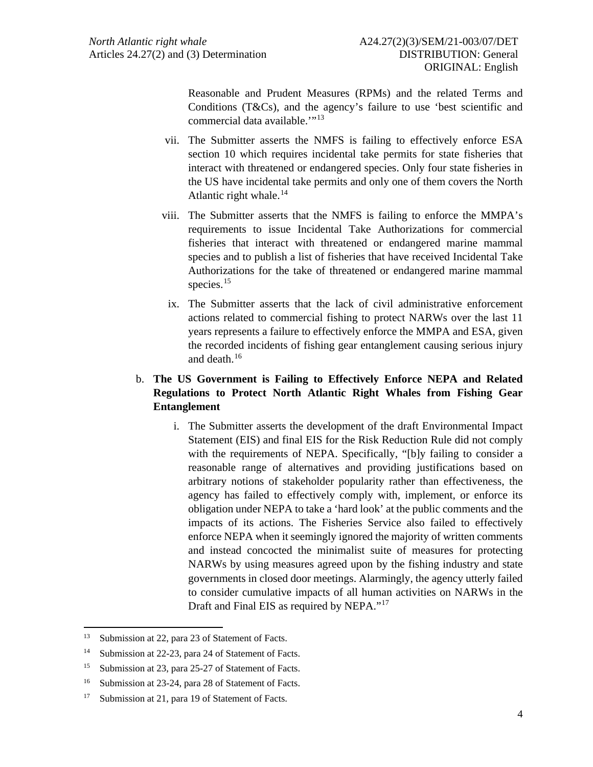Reasonable and Prudent Measures (RPMs) and the related Terms and Conditions (T&Cs), and the agency's failure to use 'best scientific and commercial data available."<sup>[13](#page-3-0)</sup>

- vii. The Submitter asserts the NMFS is failing to effectively enforce ESA section 10 which requires incidental take permits for state fisheries that interact with threatened or endangered species. Only four state fisheries in the US have incidental take permits and only one of them covers the North Atlantic right whale.<sup>[14](#page-3-1)</sup>
- viii. The Submitter asserts that the NMFS is failing to enforce the MMPA's requirements to issue Incidental Take Authorizations for commercial fisheries that interact with threatened or endangered marine mammal species and to publish a list of fisheries that have received Incidental Take Authorizations for the take of threatened or endangered marine mammal species.<sup>[15](#page-3-2)</sup>
	- ix. The Submitter asserts that the lack of civil administrative enforcement actions related to commercial fishing to protect NARWs over the last 11 years represents a failure to effectively enforce the MMPA and ESA, given the recorded incidents of fishing gear entanglement causing serious injury and death. [16](#page-3-3)

# b. **The US Government is Failing to Effectively Enforce NEPA and Related Regulations to Protect North Atlantic Right Whales from Fishing Gear Entanglement**

i. The Submitter asserts the development of the draft Environmental Impact Statement (EIS) and final EIS for the Risk Reduction Rule did not comply with the requirements of NEPA. Specifically, "[b]y failing to consider a reasonable range of alternatives and providing justifications based on arbitrary notions of stakeholder popularity rather than effectiveness, the agency has failed to effectively comply with, implement, or enforce its obligation under NEPA to take a 'hard look' at the public comments and the impacts of its actions. The Fisheries Service also failed to effectively enforce NEPA when it seemingly ignored the majority of written comments and instead concocted the minimalist suite of measures for protecting NARWs by using measures agreed upon by the fishing industry and state governments in closed door meetings. Alarmingly, the agency utterly failed to consider cumulative impacts of all human activities on NARWs in the Draft and Final EIS as required by NEPA."<sup>[17](#page-3-4)</sup>

<span id="page-3-0"></span><sup>&</sup>lt;sup>13</sup> Submission at 22, para 23 of Statement of Facts.

<span id="page-3-1"></span><sup>14</sup> Submission at 22-23, para 24 of Statement of Facts.

<span id="page-3-2"></span><sup>&</sup>lt;sup>15</sup> Submission at 23, para 25-27 of Statement of Facts.

<span id="page-3-3"></span><sup>16</sup> Submission at 23-24, para 28 of Statement of Facts.

<span id="page-3-4"></span><sup>&</sup>lt;sup>17</sup> Submission at 21, para 19 of Statement of Facts.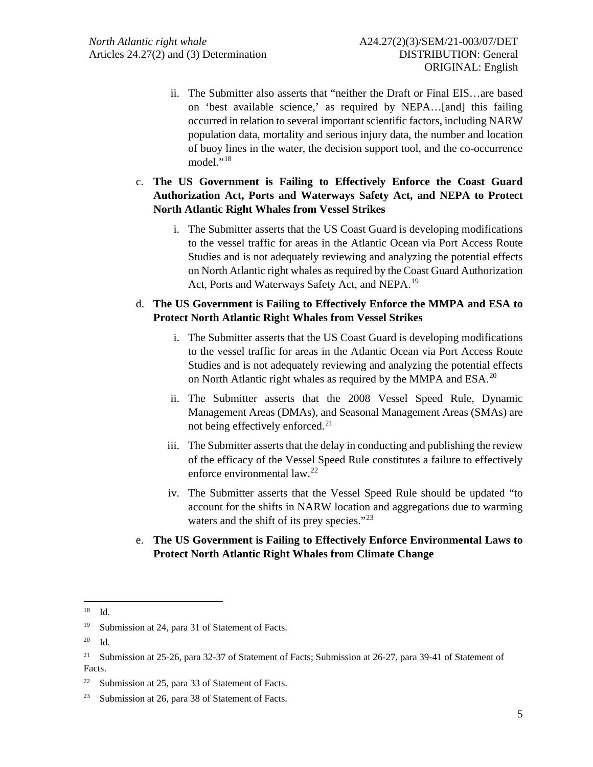- ii. The Submitter also asserts that "neither the Draft or Final EIS…are based on 'best available science,' as required by NEPA…[and] this failing occurred in relation to several important scientific factors, including NARW population data, mortality and serious injury data, the number and location of buoy lines in the water, the decision support tool, and the co-occurrence model $"$ <sup>[18](#page-4-0)</sup>
- c. **The US Government is Failing to Effectively Enforce the Coast Guard Authorization Act, Ports and Waterways Safety Act, and NEPA to Protect North Atlantic Right Whales from Vessel Strikes**
	- i. The Submitter asserts that the US Coast Guard is developing modifications to the vessel traffic for areas in the Atlantic Ocean via Port Access Route Studies and is not adequately reviewing and analyzing the potential effects on North Atlantic right whales as required by the Coast Guard Authorization Act, Ports and Waterways Safety Act, and NEPA.<sup>[19](#page-4-1)</sup>

### d. **The US Government is Failing to Effectively Enforce the MMPA and ESA to Protect North Atlantic Right Whales from Vessel Strikes**

- i. The Submitter asserts that the US Coast Guard is developing modifications to the vessel traffic for areas in the Atlantic Ocean via Port Access Route Studies and is not adequately reviewing and analyzing the potential effects on North Atlantic right whales as required by the MMPA and ESA.<sup>[20](#page-4-2)</sup>
- ii. The Submitter asserts that the 2008 Vessel Speed Rule, Dynamic Management Areas (DMAs), and Seasonal Management Areas (SMAs) are not being effectively enforced.<sup>[21](#page-4-3)</sup>
- iii. The Submitter asserts that the delay in conducting and publishing the review of the efficacy of the Vessel Speed Rule constitutes a failure to effectively enforce environmental law.[22](#page-4-4)
- iv. The Submitter asserts that the Vessel Speed Rule should be updated "to account for the shifts in NARW location and aggregations due to warming waters and the shift of its prey species."<sup>[23](#page-4-5)</sup>
- e. **The US Government is Failing to Effectively Enforce Environmental Laws to Protect North Atlantic Right Whales from Climate Change**

<span id="page-4-0"></span><sup>18</sup> Id.

<span id="page-4-1"></span><sup>&</sup>lt;sup>19</sup> Submission at 24, para 31 of Statement of Facts.

<span id="page-4-2"></span><sup>20</sup> Id.

<span id="page-4-3"></span><sup>&</sup>lt;sup>21</sup> Submission at 25-26, para 32-37 of Statement of Facts; Submission at 26-27, para 39-41 of Statement of Facts.

<span id="page-4-4"></span> $22$  Submission at 25, para 33 of Statement of Facts.

<span id="page-4-5"></span><sup>23</sup> Submission at 26, para 38 of Statement of Facts.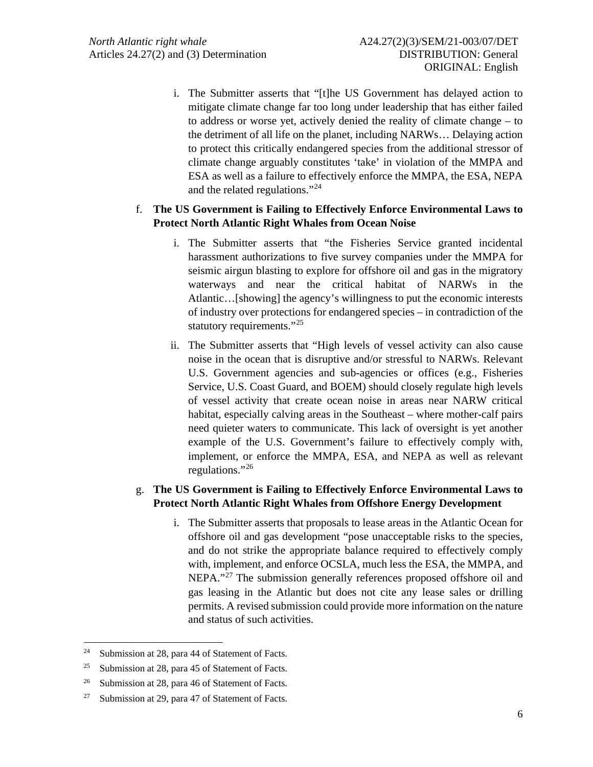i. The Submitter asserts that "[t]he US Government has delayed action to mitigate climate change far too long under leadership that has either failed to address or worse yet, actively denied the reality of climate change – to the detriment of all life on the planet, including NARWs… Delaying action to protect this critically endangered species from the additional stressor of climate change arguably constitutes 'take' in violation of the MMPA and ESA as well as a failure to effectively enforce the MMPA, the ESA, NEPA and the related regulations."[24](#page-5-0)

## f. **The US Government is Failing to Effectively Enforce Environmental Laws to Protect North Atlantic Right Whales from Ocean Noise**

- i. The Submitter asserts that "the Fisheries Service granted incidental harassment authorizations to five survey companies under the MMPA for seismic airgun blasting to explore for offshore oil and gas in the migratory waterways and near the critical habitat of NARWs in the Atlantic…[showing] the agency's willingness to put the economic interests of industry over protections for endangered species – in contradiction of the statutory requirements."<sup>[25](#page-5-1)</sup>
- ii. The Submitter asserts that "High levels of vessel activity can also cause noise in the ocean that is disruptive and/or stressful to NARWs. Relevant U.S. Government agencies and sub-agencies or offices (e.g., Fisheries Service, U.S. Coast Guard, and BOEM) should closely regulate high levels of vessel activity that create ocean noise in areas near NARW critical habitat, especially calving areas in the Southeast – where mother-calf pairs need quieter waters to communicate. This lack of oversight is yet another example of the U.S. Government's failure to effectively comply with, implement, or enforce the MMPA, ESA, and NEPA as well as relevant regulations."[26](#page-5-2)

### g. **The US Government is Failing to Effectively Enforce Environmental Laws to Protect North Atlantic Right Whales from Offshore Energy Development**

i. The Submitter asserts that proposals to lease areas in the Atlantic Ocean for offshore oil and gas development "pose unacceptable risks to the species, and do not strike the appropriate balance required to effectively comply with, implement, and enforce OCSLA, much less the ESA, the MMPA, and NEPA."<sup>[27](#page-5-3)</sup> The submission generally references proposed offshore oil and gas leasing in the Atlantic but does not cite any lease sales or drilling permits. A revised submission could provide more information on the nature and status of such activities.

<span id="page-5-0"></span><sup>24</sup> Submission at 28, para 44 of Statement of Facts.

<span id="page-5-1"></span><sup>&</sup>lt;sup>25</sup> Submission at 28, para 45 of Statement of Facts.

<span id="page-5-2"></span><sup>&</sup>lt;sup>26</sup> Submission at 28, para 46 of Statement of Facts.

<span id="page-5-3"></span><sup>27</sup> Submission at 29, para 47 of Statement of Facts.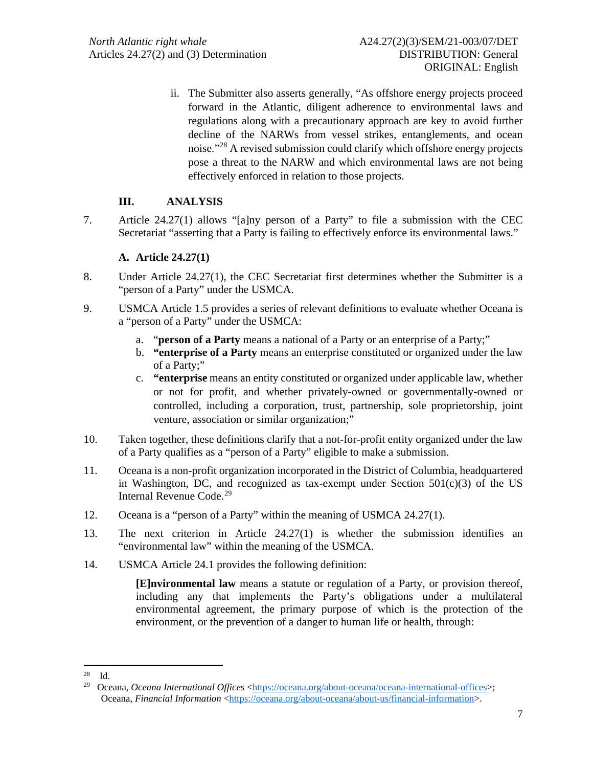ii. The Submitter also asserts generally, "As offshore energy projects proceed forward in the Atlantic, diligent adherence to environmental laws and regulations along with a precautionary approach are key to avoid further decline of the NARWs from vessel strikes, entanglements, and ocean noise."[28](#page-6-0) A revised submission could clarify which offshore energy projects pose a threat to the NARW and which environmental laws are not being effectively enforced in relation to those projects.

# **III. ANALYSIS**

7. Article 24.27(1) allows "[a]ny person of a Party" to file a submission with the CEC Secretariat "asserting that a Party is failing to effectively enforce its environmental laws."

### **A. Article 24.27(1)**

- 8. Under Article 24.27(1), the CEC Secretariat first determines whether the Submitter is a "person of a Party" under the USMCA.
- 9. USMCA Article 1.5 provides a series of relevant definitions to evaluate whether Oceana is a "person of a Party" under the USMCA:
	- a. "**person of a Party** means a national of a Party or an enterprise of a Party;"
	- b. **"enterprise of a Party** means an enterprise constituted or organized under the law of a Party;"
	- c. **"enterprise** means an entity constituted or organized under applicable law, whether or not for profit, and whether privately-owned or governmentally-owned or controlled, including a corporation, trust, partnership, sole proprietorship, joint venture, association or similar organization;"
- 10. Taken together, these definitions clarify that a not-for-profit entity organized under the law of a Party qualifies as a "person of a Party" eligible to make a submission.
- 11. Oceana is a non-profit organization incorporated in the District of Columbia, headquartered in Washington, DC, and recognized as tax-exempt under Section  $501(c)(3)$  of the US Internal Revenue Code.<sup>[29](#page-6-1)</sup>
- 12. Oceana is a "person of a Party" within the meaning of USMCA 24.27(1).
- 13. The next criterion in Article 24.27(1) is whether the submission identifies an "environmental law" within the meaning of the USMCA.
- 14. USMCA Article 24.1 provides the following definition:

**[E]nvironmental law** means a statute or regulation of a Party, or provision thereof, including any that implements the Party's obligations under a multilateral environmental agreement, the primary purpose of which is the protection of the environment, or the prevention of a danger to human life or health, through:

<span id="page-6-0"></span> $28$  Id.

<span id="page-6-1"></span><sup>&</sup>lt;sup>29</sup> Oceana, *Oceana International Offices* [<https://oceana.org/about-oceana/oceana-international-offices>](https://oceana.org/about-oceana/oceana-international-offices); Oceana, *Financial Information* [<https://oceana.org/about-oceana/about-us/financial-information>](https://oceana.org/about-oceana/about-us/financial-information).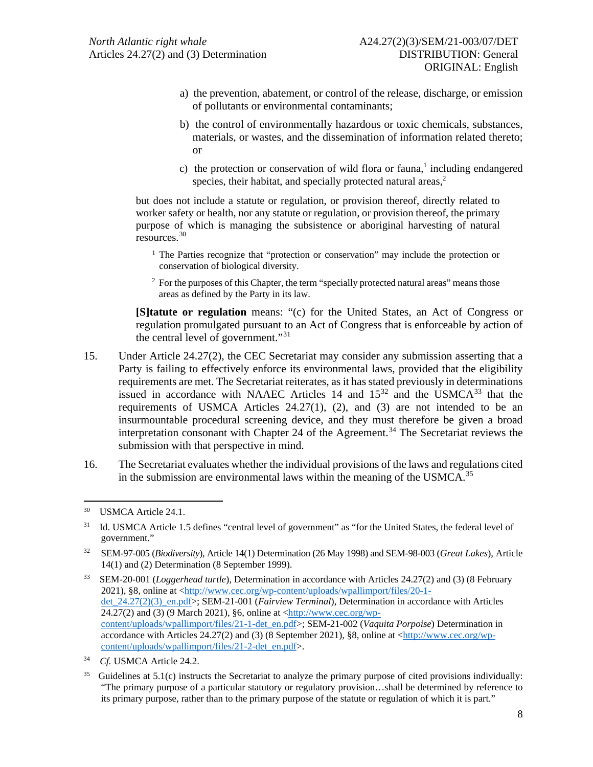- a) the prevention, abatement, or control of the release, discharge, or emission of pollutants or environmental contaminants;
- b) the control of environmentally hazardous or toxic chemicals, substances, materials, or wastes, and the dissemination of information related thereto; or
- c) the protection or conservation of wild flora or fauna,<sup>1</sup> including endangered species, their habitat, and specially protected natural areas, $<sup>2</sup>$ </sup>

but does not include a statute or regulation, or provision thereof, directly related to worker safety or health, nor any statute or regulation, or provision thereof, the primary purpose of which is managing the subsistence or aboriginal harvesting of natural resources. [30](#page-7-0)

<sup>1</sup> The Parties recognize that "protection or conservation" may include the protection or conservation of biological diversity.

<sup>2</sup> For the purposes of this Chapter, the term "specially protected natural areas" means those areas as defined by the Party in its law.

**[S]tatute or regulation** means: "(c) for the United States, an Act of Congress or regulation promulgated pursuant to an Act of Congress that is enforceable by action of the central level of government."[31](#page-7-1)

- 15. Under Article 24.27(2), the CEC Secretariat may consider any submission asserting that a Party is failing to effectively enforce its environmental laws, provided that the eligibility requirements are met. The Secretariat reiterates, as it has stated previously in determinations issued in accordance with NAAEC Articles 14 and  $15^{32}$  $15^{32}$  $15^{32}$  and the USMCA<sup>[33](#page-7-3)</sup> that the requirements of USMCA Articles 24.27(1), (2), and (3) are not intended to be an insurmountable procedural screening device, and they must therefore be given a broad interpretation consonant with Chapter 24 of the Agreement.<sup>[34](#page-7-4)</sup> The Secretariat reviews the submission with that perspective in mind.
- 16. The Secretariat evaluates whether the individual provisions of the laws and regulations cited in the submission are environmental laws within the meaning of the USMCA.<sup>35</sup>

<span id="page-7-0"></span><sup>30</sup> USMCA Article 24.1.

<span id="page-7-1"></span><sup>&</sup>lt;sup>31</sup> Id. USMCA Article 1.5 defines "central level of government" as "for the United States, the federal level of government."

<span id="page-7-2"></span><sup>32</sup> SEM-97-005 (*Biodiversity*), Article 14(1) Determination (26 May 1998) and SEM-98-003 (*Great Lakes*), Article 14(1) and (2) Determination (8 September 1999).

<span id="page-7-3"></span><sup>33</sup> SEM-20-001 (*Loggerhead turtle*), Determination in accordance with Articles 24.27(2) and (3) (8 February 2021), §8, online at [<http://www.cec.org/wp-content/uploads/wpallimport/files/20-1](http://www.cec.org/wp-content/uploads/wpallimport/files/20-1-det_24.27(2)(3)_en.pdf) [det\\_24.27\(2\)\(3\)\\_en.pdf>](http://www.cec.org/wp-content/uploads/wpallimport/files/20-1-det_24.27(2)(3)_en.pdf); SEM-21-001 (*Fairview Terminal*), Determination in accordance with Articles 24.27(2) and (3) (9 March 2021), §6, online at [<http://www.cec.org/wp](http://www.cec.org/wp-content/uploads/wpallimport/files/21-1-det_en.pdf)[content/uploads/wpallimport/files/21-1-det\\_en.pdf>](http://www.cec.org/wp-content/uploads/wpallimport/files/21-1-det_en.pdf); SEM-21-002 (*Vaquita Porpoise*) Determination in accordance with Articles 24.27(2) and (3) (8 September 2021), §8, online at [<http://www.cec.org/wp](http://www.cec.org/wp-content/uploads/wpallimport/files/21-2-det_en.pdf)[content/uploads/wpallimport/files/21-2-det\\_en.pdf>](http://www.cec.org/wp-content/uploads/wpallimport/files/21-2-det_en.pdf).

<span id="page-7-4"></span><sup>34</sup> *Cf.* USMCA Article 24.2.

<span id="page-7-5"></span>Guidelines at 5.1(c) instructs the Secretariat to analyze the primary purpose of cited provisions individually: "The primary purpose of a particular statutory or regulatory provision…shall be determined by reference to its primary purpose, rather than to the primary purpose of the statute or regulation of which it is part."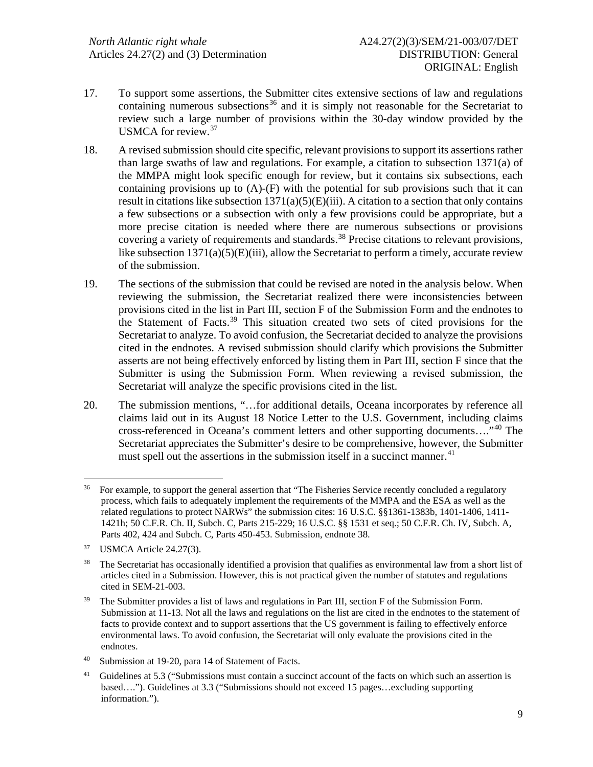- 17. To support some assertions, the Submitter cites extensive sections of law and regulations containing numerous subsections<sup>[36](#page-8-0)</sup> and it is simply not reasonable for the Secretariat to review such a large number of provisions within the 30-day window provided by the USMCA for review.[37](#page-8-1)
- 18. A revised submission should cite specific, relevant provisionsto support its assertions rather than large swaths of law and regulations. For example, a citation to subsection 1371(a) of the MMPA might look specific enough for review, but it contains six subsections, each containing provisions up to  $(A)$ - $(F)$  with the potential for sub provisions such that it can result in citations like subsection  $1371(a)(5)(E)(iii)$ . A citation to a section that only contains a few subsections or a subsection with only a few provisions could be appropriate, but a more precise citation is needed where there are numerous subsections or provisions covering a variety of requirements and standards.<sup>[38](#page-8-2)</sup> Precise citations to relevant provisions, like subsection  $1371(a)(5)(E)(iii)$ , allow the Secretariat to perform a timely, accurate review of the submission.
- 19. The sections of the submission that could be revised are noted in the analysis below. When reviewing the submission, the Secretariat realized there were inconsistencies between provisions cited in the list in Part III, section F of the Submission Form and the endnotes to the Statement of Facts.[39](#page-8-3) This situation created two sets of cited provisions for the Secretariat to analyze. To avoid confusion, the Secretariat decided to analyze the provisions cited in the endnotes. A revised submission should clarify which provisions the Submitter asserts are not being effectively enforced by listing them in Part III, section F since that the Submitter is using the Submission Form. When reviewing a revised submission, the Secretariat will analyze the specific provisions cited in the list.
- 20. The submission mentions, "…for additional details, Oceana incorporates by reference all claims laid out in its August 18 Notice Letter to the U.S. Government, including claims cross-referenced in Oceana's comment letters and other supporting documents...."<sup>[40](#page-8-4)</sup> The Secretariat appreciates the Submitter's desire to be comprehensive, however, the Submitter must spell out the assertions in the submission itself in a succinct manner.<sup>[41](#page-8-5)</sup>

<span id="page-8-0"></span><sup>&</sup>lt;sup>36</sup> For example, to support the general assertion that "The Fisheries Service recently concluded a regulatory process, which fails to adequately implement the requirements of the MMPA and the ESA as well as the related regulations to protect NARWs" the submission cites: 16 U.S.C. §§1361-1383b, 1401-1406, 1411- 1421h; 50 C.F.R. Ch. II, Subch. C, Parts 215-229; 16 U.S.C. §§ 1531 et seq.; 50 C.F.R. Ch. IV, Subch. A, Parts 402, 424 and Subch. C, Parts 450-453. Submission, endnote 38.

<span id="page-8-1"></span><sup>37</sup> USMCA Article 24.27(3).

<span id="page-8-2"></span><sup>&</sup>lt;sup>38</sup> The Secretariat has occasionally identified a provision that qualifies as environmental law from a short list of articles cited in a Submission. However, this is not practical given the number of statutes and regulations cited in SEM-21-003.

<span id="page-8-3"></span><sup>&</sup>lt;sup>39</sup> The Submitter provides a list of laws and regulations in Part III, section F of the Submission Form. Submission at 11-13. Not all the laws and regulations on the list are cited in the endnotes to the statement of facts to provide context and to support assertions that the US government is failing to effectively enforce environmental laws. To avoid confusion, the Secretariat will only evaluate the provisions cited in the endnotes.

<span id="page-8-4"></span><sup>40</sup> Submission at 19-20, para 14 of Statement of Facts.

<span id="page-8-5"></span>Guidelines at 5.3 ("Submissions must contain a succinct account of the facts on which such an assertion is based…."). Guidelines at 3.3 ("Submissions should not exceed 15 pages…excluding supporting information.").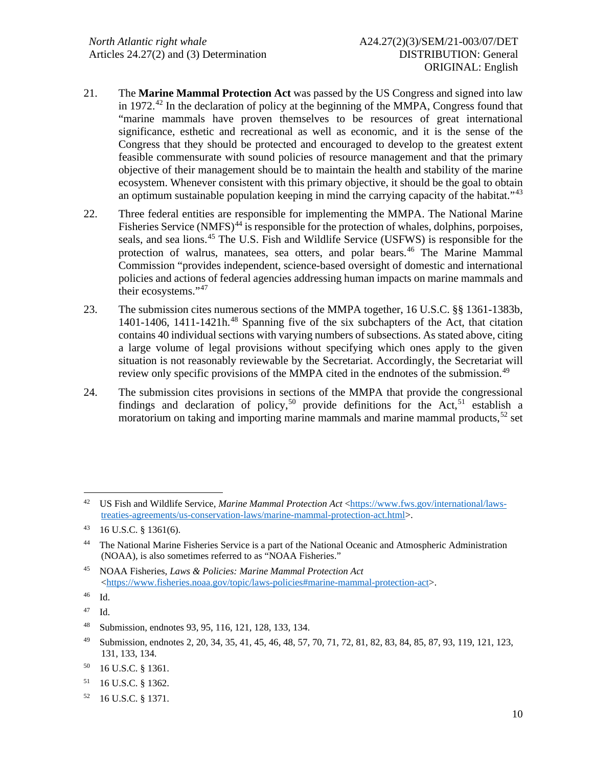- 21. The **Marine Mammal Protection Act** was passed by the US Congress and signed into law in 1972.<sup>[42](#page-9-0)</sup> In the declaration of policy at the beginning of the MMPA, Congress found that "marine mammals have proven themselves to be resources of great international significance, esthetic and recreational as well as economic, and it is the sense of the Congress that they should be protected and encouraged to develop to the greatest extent feasible commensurate with sound policies of resource management and that the primary objective of their management should be to maintain the health and stability of the marine ecosystem. Whenever consistent with this primary objective, it should be the goal to obtain an optimum sustainable population keeping in mind the carrying capacity of the habitat." $43$
- 22. Three federal entities are responsible for implementing the MMPA. The National Marine Fisheries Service (NMFS)<sup>[44](#page-9-2)</sup> is responsible for the protection of whales, dolphins, porpoises, seals, and sea lions.<sup>[45](#page-9-3)</sup> The U.S. Fish and Wildlife Service (USFWS) is responsible for the protection of walrus, manatees, sea otters, and polar bears.<sup>[46](#page-9-4)</sup> The Marine Mammal Commission "provides independent, science-based oversight of domestic and international policies and actions of federal agencies addressing human impacts on marine mammals and their ecosystems."[47](#page-9-5)
- 23. The submission cites numerous sections of the MMPA together, 16 U.S.C. §§ 1361-1383b, 1401-1406, 1411-1421h. $48$  Spanning five of the six subchapters of the Act, that citation contains 40 individual sections with varying numbers of subsections. As stated above, citing a large volume of legal provisions without specifying which ones apply to the given situation is not reasonably reviewable by the Secretariat. Accordingly, the Secretariat will review only specific provisions of the MMPA cited in the endnotes of the submission.<sup>[49](#page-9-7)</sup>
- 24. The submission cites provisions in sections of the MMPA that provide the congressional findings and declaration of policy,<sup>[50](#page-9-8)</sup> provide definitions for the Act,<sup>[51](#page-9-9)</sup> establish a moratorium on taking and importing marine mammals and marine mammal products,  $52$  set

<span id="page-9-0"></span><sup>&</sup>lt;sup>42</sup> US Fish and Wildlife Service, *Marine Mammal Protection Act* [<https://www.fws.gov/international/laws](https://www.fws.gov/international/laws-treaties-agreements/us-conservation-laws/marine-mammal-protection-act.html)[treaties-agreements/us-conservation-laws/marine-mammal-protection-act.html>](https://www.fws.gov/international/laws-treaties-agreements/us-conservation-laws/marine-mammal-protection-act.html).

<span id="page-9-1"></span><sup>43 16</sup> U.S.C. § 1361(6).

<span id="page-9-2"></span><sup>44</sup> The National Marine Fisheries Service is a part of the National Oceanic and Atmospheric Administration (NOAA), is also sometimes referred to as "NOAA Fisheries."

<span id="page-9-3"></span><sup>45</sup> NOAA Fisheries, *Laws & Policies: Marine Mammal Protection Act* [<https://www.fisheries.noaa.gov/topic/laws-policies#marine-mammal-protection-act>](https://www.fisheries.noaa.gov/topic/laws-policies#marine-mammal-protection-act).

<span id="page-9-4"></span><sup>46</sup> Id.

<span id="page-9-5"></span><sup>47</sup> Id.

<span id="page-9-6"></span><sup>48</sup> Submission, endnotes 93, 95, 116, 121, 128, 133, 134.

<span id="page-9-7"></span><sup>49</sup> Submission, endnotes 2, 20, 34, 35, 41, 45, 46, 48, 57, 70, 71, 72, 81, 82, 83, 84, 85, 87, 93, 119, 121, 123, 131, 133, 134.

<span id="page-9-8"></span><sup>50 16</sup> U.S.C. § 1361.

<span id="page-9-9"></span><sup>51 16</sup> U.S.C. § 1362.

<span id="page-9-10"></span><sup>52 16</sup> U.S.C. § 1371.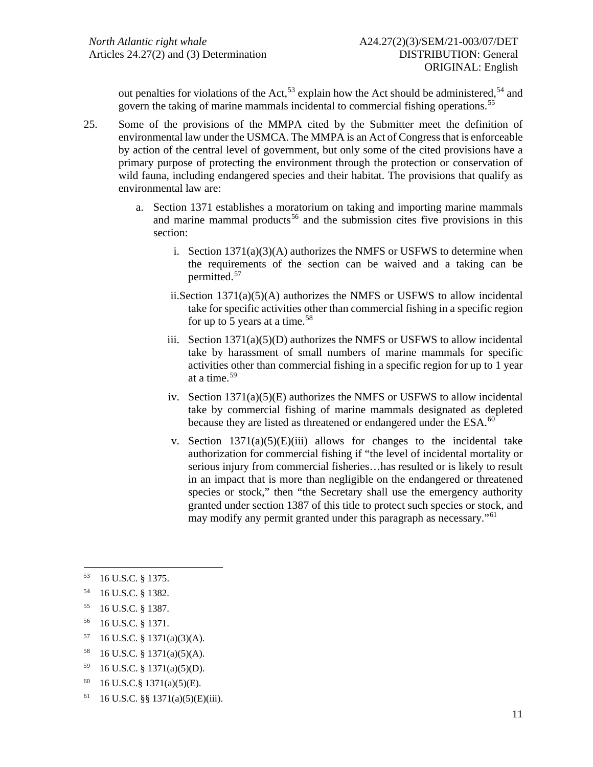out penalties for violations of the Act,<sup>[53](#page-10-0)</sup> explain how the Act should be administered,<sup>[54](#page-10-1)</sup> and govern the taking of marine mammals incidental to commercial fishing operations. [55](#page-10-2)

- 25. Some of the provisions of the MMPA cited by the Submitter meet the definition of environmental law under the USMCA. The MMPA is an Act of Congress that is enforceable by action of the central level of government, but only some of the cited provisions have a primary purpose of protecting the environment through the protection or conservation of wild fauna, including endangered species and their habitat. The provisions that qualify as environmental law are:
	- a. Section 1371 establishes a moratorium on taking and importing marine mammals and marine mammal products<sup>[56](#page-10-3)</sup> and the submission cites five provisions in this section:
		- i. Section  $1371(a)(3)(A)$  authorizes the NMFS or USFWS to determine when the requirements of the section can be waived and a taking can be permitted.[57](#page-10-4)
		- ii.Section 1371(a)(5)(A) authorizes the NMFS or USFWS to allow incidental take for specific activities other than commercial fishing in a specific region for up to 5 years at a time.<sup>[58](#page-10-5)</sup>
		- iii. Section  $1371(a)(5)(D)$  authorizes the NMFS or USFWS to allow incidental take by harassment of small numbers of marine mammals for specific activities other than commercial fishing in a specific region for up to 1 year at a time.[59](#page-10-6)
		- iv. Section 1371(a)(5)(E) authorizes the NMFS or USFWS to allow incidental take by commercial fishing of marine mammals designated as depleted because they are listed as threatened or endangered under the ESA.<sup>[60](#page-10-7)</sup>
		- v. Section  $1371(a)(5)(E)(iii)$  allows for changes to the incidental take authorization for commercial fishing if "the level of incidental mortality or serious injury from commercial fisheries…has resulted or is likely to result in an impact that is more than negligible on the endangered or threatened species or stock," then "the Secretary shall use the emergency authority granted under section 1387 of this title to protect such species or stock, and may modify any permit granted under this paragraph as necessary."[61](#page-10-8)

- <span id="page-10-2"></span>55 16 U.S.C. § 1387.
- <span id="page-10-3"></span>56 16 U.S.C. § 1371.
- <span id="page-10-4"></span>57 16 U.S.C. § 1371(a)(3)(A).
- <span id="page-10-5"></span>58 16 U.S.C. § 1371(a)(5)(A).
- <span id="page-10-6"></span>59 16 U.S.C. § 1371(a)(5)(D).
- <span id="page-10-7"></span>60 16 U.S.C.§ 1371(a)(5)(E).
- <span id="page-10-8"></span> $61$  16 U.S.C. §§ 1371(a)(5)(E)(iii).

<span id="page-10-0"></span><sup>53 16</sup> U.S.C. § 1375.

<span id="page-10-1"></span><sup>54 16</sup> U.S.C. § 1382.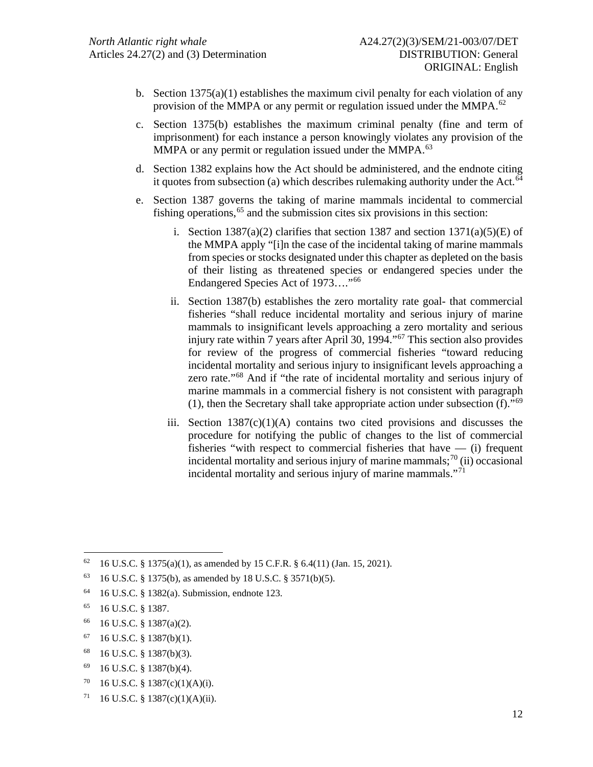- b. Section  $1375(a)(1)$  establishes the maximum civil penalty for each violation of any provision of the MMPA or any permit or regulation issued under the MMPA. $^{62}$  $^{62}$  $^{62}$
- c. Section 1375(b) establishes the maximum criminal penalty (fine and term of imprisonment) for each instance a person knowingly violates any provision of the MMPA or any permit or regulation issued under the MMPA.<sup>[63](#page-11-1)</sup>
- d. Section 1382 explains how the Act should be administered, and the endnote citing it quotes from subsection (a) which describes rulemaking authority under the Act. $64$
- e. Section 1387 governs the taking of marine mammals incidental to commercial fishing operations,  $65$  and the submission cites six provisions in this section:
	- i. Section  $1387(a)(2)$  clarifies that section 1387 and section  $1371(a)(5)(E)$  of the MMPA apply "[i]n the case of the incidental taking of marine mammals from species or stocks designated under this chapter as depleted on the basis of their listing as threatened species or endangered species under the Endangered Species Act of 1973…."[66](#page-11-4)
	- ii. Section 1387(b) establishes the zero mortality rate goal- that commercial fisheries "shall reduce incidental mortality and serious injury of marine mammals to insignificant levels approaching a zero mortality and serious injury rate within 7 years after April 30, 1994."<sup>[67](#page-11-5)</sup> This section also provides for review of the progress of commercial fisheries "toward reducing incidental mortality and serious injury to insignificant levels approaching a zero rate."[68](#page-11-6) And if "the rate of incidental mortality and serious injury of marine mammals in a commercial fishery is not consistent with paragraph (1), then the Secretary shall take appropriate action under subsection  $(f)$ ."<sup>[69](#page-11-7)</sup>
	- iii. Section  $1387(c)(1)(A)$  contains two cited provisions and discusses the procedure for notifying the public of changes to the list of commercial fisheries "with respect to commercial fisheries that have — (i) frequent incidental mortality and serious injury of marine mammals;<sup>[70](#page-11-8)</sup> (ii) occasional incidental mortality and serious injury of marine mammals."[71](#page-11-9)

<span id="page-11-0"></span><sup>62 16</sup> U.S.C. § 1375(a)(1), as amended by 15 C.F.R. § 6.4(11) (Jan. 15, 2021).

<span id="page-11-1"></span><sup>63 16</sup> U.S.C. § 1375(b), as amended by 18 U.S.C. § 3571(b)(5).

<span id="page-11-2"></span><sup>64 16</sup> U.S.C. § 1382(a). Submission, endnote 123.

<span id="page-11-3"></span><sup>65 16</sup> U.S.C. § 1387.

<span id="page-11-4"></span><sup>66 16</sup> U.S.C. § 1387(a)(2).

<span id="page-11-5"></span> $67$  16 U.S.C. § 1387(b)(1).

<span id="page-11-6"></span><sup>68 16</sup> U.S.C. § 1387(b)(3).

<span id="page-11-7"></span> $69$  16 U.S.C. § 1387(b)(4).

<span id="page-11-8"></span><sup>70 16</sup> U.S.C. § 1387(c)(1)(A)(i).

<span id="page-11-9"></span> $71 \quad 16 \text{ U.S.C. }$  § 1387(c)(1)(A)(ii).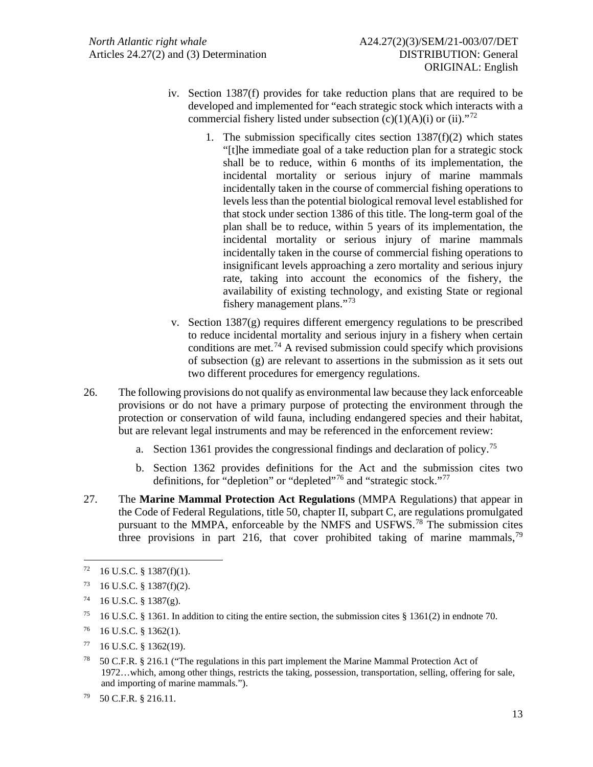- iv. Section 1387(f) provides for take reduction plans that are required to be developed and implemented for "each strategic stock which interacts with a commercial fishery listed under subsection  $(c)(1)(A)(i)$  or  $(ii).$ <sup>[72](#page-12-0)</sup>
	- 1. The submission specifically cites section  $1387(f)(2)$  which states "[t]he immediate goal of a take reduction plan for a strategic stock shall be to reduce, within 6 months of its implementation, the incidental mortality or serious injury of marine mammals incidentally taken in the course of commercial fishing operations to levels less than the potential biological removal level established for that stock under section 1386 of this title. The long-term goal of the plan shall be to reduce, within 5 years of its implementation, the incidental mortality or serious injury of marine mammals incidentally taken in the course of commercial fishing operations to insignificant levels approaching a zero mortality and serious injury rate, taking into account the economics of the fishery, the availability of existing technology, and existing State or regional fishery management plans."[73](#page-12-1)
- v. Section 1387(g) requires different emergency regulations to be prescribed to reduce incidental mortality and serious injury in a fishery when certain conditions are met.<sup>[74](#page-12-2)</sup> A revised submission could specify which provisions of subsection (g) are relevant to assertions in the submission as it sets out two different procedures for emergency regulations.
- 26. The following provisions do not qualify as environmental law because they lack enforceable provisions or do not have a primary purpose of protecting the environment through the protection or conservation of wild fauna, including endangered species and their habitat, but are relevant legal instruments and may be referenced in the enforcement review:
	- a. Section 1361 provides the congressional findings and declaration of policy.[75](#page-12-3)
	- b. Section 1362 provides definitions for the Act and the submission cites two definitions, for "depletion" or "depleted"<sup>[76](#page-12-4)</sup> and "strategic stock."<sup>[77](#page-12-5)</sup>
- 27. The **Marine Mammal Protection Act Regulations** (MMPA Regulations) that appear in the Code of Federal Regulations, title 50, chapter II, subpart C, are regulations promulgated pursuant to the MMPA, enforceable by the NMFS and USFWS.<sup>[78](#page-12-6)</sup> The submission cites three provisions in part 216, that cover prohibited taking of marine mammals,<sup>[79](#page-12-7)</sup>

<span id="page-12-0"></span> $72 \quad 16 \text{ U.S.C. }$  § 1387(f)(1).

<span id="page-12-1"></span> $73$  16 U.S.C. § 1387(f)(2).

<span id="page-12-2"></span> $74$  16 U.S.C. § 1387(g).

<span id="page-12-3"></span><sup>&</sup>lt;sup>75</sup> 16 U.S.C. § 1361. In addition to citing the entire section, the submission cites § 1361(2) in endnote 70.

<span id="page-12-4"></span><sup>76 16</sup> U.S.C. § 1362(1).

<span id="page-12-5"></span> $77 \quad 16$  U.S.C. § 1362(19).

<span id="page-12-6"></span><sup>&</sup>lt;sup>78</sup> 50 C.F.R. § 216.1 ("The regulations in this part implement the Marine Mammal Protection Act of 1972…which, among other things, restricts the taking, possession, transportation, selling, offering for sale, and importing of marine mammals.").

<span id="page-12-7"></span><sup>79 50</sup> C.F.R. § 216.11.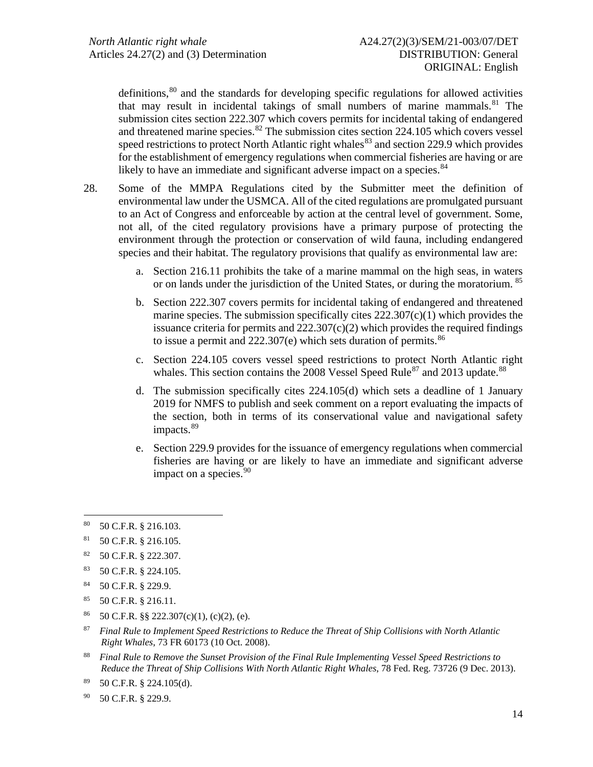definitions, $80$  and the standards for developing specific regulations for allowed activities that may result in incidental takings of small numbers of marine mammals. [81](#page-13-1) The submission cites section 222.307 which covers permits for incidental taking of endangered and threatened marine species. $82$  The submission cites section 224.105 which covers vessel speed restrictions to protect North Atlantic right whales $^{83}$  $^{83}$  $^{83}$  and section 229.9 which provides for the establishment of emergency regulations when commercial fisheries are having or are likely to have an immediate and significant adverse impact on a species.<sup>[84](#page-13-4)</sup>

- 28. Some of the MMPA Regulations cited by the Submitter meet the definition of environmental law under the USMCA. All of the cited regulations are promulgated pursuant to an Act of Congress and enforceable by action at the central level of government. Some, not all, of the cited regulatory provisions have a primary purpose of protecting the environment through the protection or conservation of wild fauna, including endangered species and their habitat. The regulatory provisions that qualify as environmental law are:
	- a. Section 216.11 prohibits the take of a marine mammal on the high seas, in waters or on lands under the jurisdiction of the United States, or during the moratorium. <sup>[85](#page-13-5)</sup>
	- b. Section 222.307 covers permits for incidental taking of endangered and threatened marine species. The submission specifically cites  $222.307(c)(1)$  which provides the issuance criteria for permits and  $222.307(c)(2)$  which provides the required findings to issue a permit and  $222.307(e)$  which sets duration of permits.<sup>[86](#page-13-6)</sup>
	- c. Section 224.105 covers vessel speed restrictions to protect North Atlantic right whales. This section contains the 2008 Vessel Speed Rule<sup>[87](#page-13-7)</sup> and 2013 update.<sup>[88](#page-13-8)</sup>
	- d. The submission specifically cites 224.105(d) which sets a deadline of 1 January 2019 for NMFS to publish and seek comment on a report evaluating the impacts of the section, both in terms of its conservational value and navigational safety impacts.<sup>[89](#page-13-9)</sup>
	- e. Section 229.9 provides for the issuance of emergency regulations when commercial fisheries are having or are likely to have an immediate and significant adverse impact on a species.<sup>[90](#page-13-10)</sup>

<span id="page-13-6"></span>86 50 C.F.R. §§ 222.307(c)(1), (c)(2), (e).

<span id="page-13-0"></span><sup>80 50</sup> C.F.R. § 216.103.

<span id="page-13-1"></span><sup>81 50</sup> C.F.R. § 216.105.

<span id="page-13-2"></span><sup>82 50</sup> C.F.R. § 222.307.

<span id="page-13-3"></span><sup>83 50</sup> C.F.R. § 224.105.

<span id="page-13-4"></span><sup>84 50</sup> C.F.R. § 229.9.

<span id="page-13-5"></span><sup>85 50</sup> C.F.R. § 216.11.

<span id="page-13-7"></span><sup>87</sup> *Final Rule to Implement Speed Restrictions to Reduce the Threat of Ship Collisions with North Atlantic Right Whales*, 73 FR 60173 (10 Oct. 2008).

<span id="page-13-8"></span><sup>88</sup> *Final Rule to Remove the Sunset Provision of the Final Rule Implementing Vessel Speed Restrictions to Reduce the Threat of Ship Collisions With North Atlantic Right Whales*, 78 Fed. Reg. 73726 (9 Dec. 2013).

<span id="page-13-9"></span> $89$  50 C.F.R. § 224.105(d).

<span id="page-13-10"></span><sup>90 50</sup> C.F.R. § 229.9.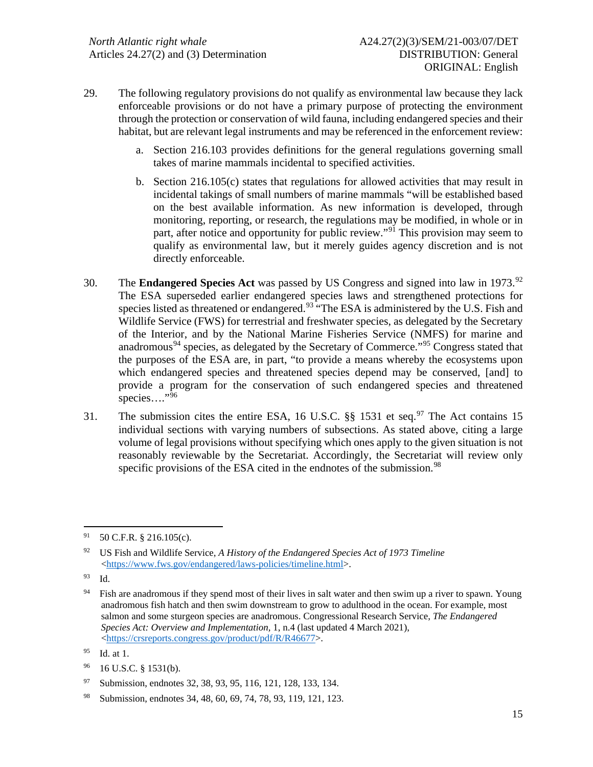- 29. The following regulatory provisions do not qualify as environmental law because they lack enforceable provisions or do not have a primary purpose of protecting the environment through the protection or conservation of wild fauna, including endangered species and their habitat, but are relevant legal instruments and may be referenced in the enforcement review:
	- a. Section 216.103 provides definitions for the general regulations governing small takes of marine mammals incidental to specified activities.
	- b. Section 216.105(c) states that regulations for allowed activities that may result in incidental takings of small numbers of marine mammals "will be established based on the best available information. As new information is developed, through monitoring, reporting, or research, the regulations may be modified, in whole or in part, after notice and opportunity for public review."<sup>[91](#page-14-0)</sup> This provision may seem to qualify as environmental law, but it merely guides agency discretion and is not directly enforceable.
- 30. The **Endangered Species Act** was passed by US Congress and signed into law in 1973.[92](#page-14-1) The ESA superseded earlier endangered species laws and strengthened protections for species listed as threatened or endangered.<sup>[93](#page-14-2)</sup> "The ESA is administered by the U.S. Fish and Wildlife Service (FWS) for terrestrial and freshwater species, as delegated by the Secretary of the Interior, and by the National Marine Fisheries Service (NMFS) for marine and anadromous<sup>[94](#page-14-3)</sup> species, as delegated by the Secretary of Commerce."<sup>[95](#page-14-4)</sup> Congress stated that the purposes of the ESA are, in part, "to provide a means whereby the ecosystems upon which endangered species and threatened species depend may be conserved, [and] to provide a program for the conservation of such endangered species and threatened species…."<sup>[96](#page-14-5)</sup>
- 31. The submission cites the entire ESA, 16 U.S.C.  $\S$ § 1531 et seq.<sup>[97](#page-14-6)</sup> The Act contains 15 individual sections with varying numbers of subsections. As stated above, citing a large volume of legal provisions without specifying which ones apply to the given situation is not reasonably reviewable by the Secretariat. Accordingly, the Secretariat will review only specific provisions of the ESA cited in the endnotes of the submission.<sup>[98](#page-14-7)</sup>

<span id="page-14-0"></span> $91$  50 C.F.R. § 216.105(c).

<span id="page-14-1"></span><sup>92</sup> US Fish and Wildlife Service, *A History of the Endangered Species Act of 1973 Timeline* [<https://www.fws.gov/endangered/laws-policies/timeline.html>](https://www.fws.gov/endangered/laws-policies/timeline.html).

<span id="page-14-2"></span><sup>93</sup> Id.

<span id="page-14-3"></span><sup>&</sup>lt;sup>94</sup> Fish are anadromous if they spend most of their lives in salt water and then swim up a river to spawn. Young anadromous fish hatch and then swim downstream to grow to adulthood in the ocean. For example, most salmon and some sturgeon species are anadromous. Congressional Research Service, *The Endangered Species Act: Overview and Implementation,* 1, n.4 (last updated 4 March 2021), [<https://crsreports.congress.gov/product/pdf/R/R46677>](https://crsreports.congress.gov/product/pdf/R/R46677).

<span id="page-14-4"></span><sup>95</sup> Id. at 1.

<span id="page-14-5"></span><sup>96 16</sup> U.S.C. § 1531(b).

<span id="page-14-6"></span><sup>97</sup> Submission, endnotes 32, 38, 93, 95, 116, 121, 128, 133, 134.

<span id="page-14-7"></span><sup>98</sup> Submission, endnotes 34, 48, 60, 69, 74, 78, 93, 119, 121, 123.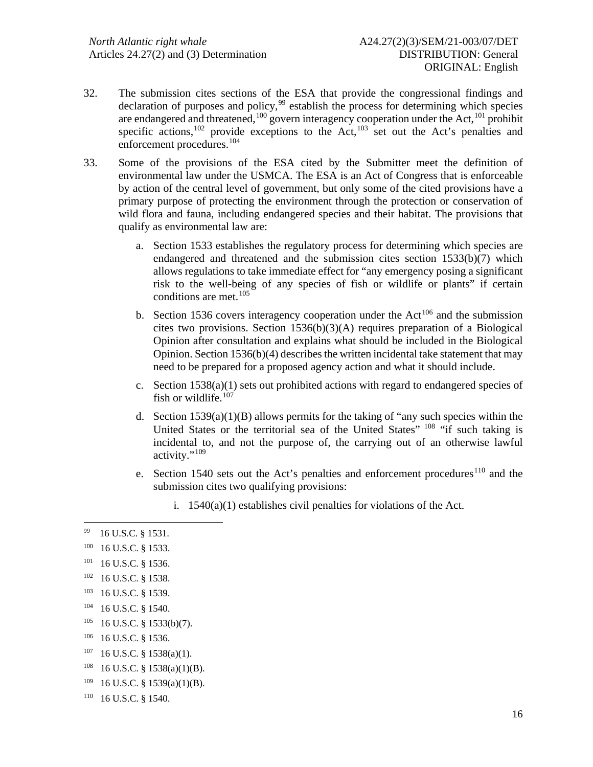- 32. The submission cites sections of the ESA that provide the congressional findings and declaration of purposes and policy,<sup>[99](#page-15-0)</sup> establish the process for determining which species are endangered and threatened,<sup>[100](#page-15-1)</sup> govern interagency cooperation under the Act,<sup>[101](#page-15-2)</sup> prohibit specific actions,<sup>[102](#page-15-3)</sup> provide exceptions to the Act,<sup>[103](#page-15-4)</sup> set out the Act's penalties and enforcement procedures.[104](#page-15-5)
- 33. Some of the provisions of the ESA cited by the Submitter meet the definition of environmental law under the USMCA. The ESA is an Act of Congress that is enforceable by action of the central level of government, but only some of the cited provisions have a primary purpose of protecting the environment through the protection or conservation of wild flora and fauna, including endangered species and their habitat. The provisions that qualify as environmental law are:
	- a. Section 1533 establishes the regulatory process for determining which species are endangered and threatened and the submission cites section  $1533(b)(7)$  which allows regulations to take immediate effect for "any emergency posing a significant risk to the well-being of any species of fish or wildlife or plants" if certain conditions are met. [105](#page-15-6)
	- b. Section 1536 covers interagency cooperation under the  $Act^{106}$  $Act^{106}$  $Act^{106}$  and the submission cites two provisions. Section 1536(b)(3)(A) requires preparation of a Biological Opinion after consultation and explains what should be included in the Biological Opinion. Section  $1536(b)(4)$  describes the written incidental take statement that may need to be prepared for a proposed agency action and what it should include.
	- c. Section  $1538(a)(1)$  sets out prohibited actions with regard to endangered species of fish or wildlife.<sup>[107](#page-15-8)</sup>
	- d. Section  $1539(a)(1)(B)$  allows permits for the taking of "any such species within the United States or the territorial sea of the United States" [108](#page-15-9) "if such taking is incidental to, and not the purpose of, the carrying out of an otherwise lawful activity."[109](#page-15-10)
	- e. Section 1540 sets out the Act's penalties and enforcement procedures<sup>[110](#page-15-11)</sup> and the submission cites two qualifying provisions:
		- i. 1540(a)(1) establishes civil penalties for violations of the Act.

<span id="page-15-0"></span><sup>99 16</sup> U.S.C. § 1531.

<span id="page-15-1"></span><sup>100 16</sup> U.S.C. § 1533.

<span id="page-15-2"></span><sup>101 16</sup> U.S.C. § 1536.

<span id="page-15-3"></span> $102$  16 U.S.C. § 1538.

<span id="page-15-4"></span><sup>103 16</sup> U.S.C. § 1539.

<span id="page-15-5"></span><sup>104 16</sup> U.S.C. § 1540.

<span id="page-15-6"></span><sup>105 16</sup> U.S.C. § 1533(b)(7).

<span id="page-15-7"></span><sup>106 16</sup> U.S.C. § 1536.

<span id="page-15-8"></span> $107$  16 U.S.C. § 1538(a)(1).

<span id="page-15-9"></span><sup>108 16</sup> U.S.C. § 1538(a)(1)(B).

<span id="page-15-10"></span> $109$  16 U.S.C. § 1539(a)(1)(B).

<span id="page-15-11"></span><sup>110 16</sup> U.S.C. § 1540.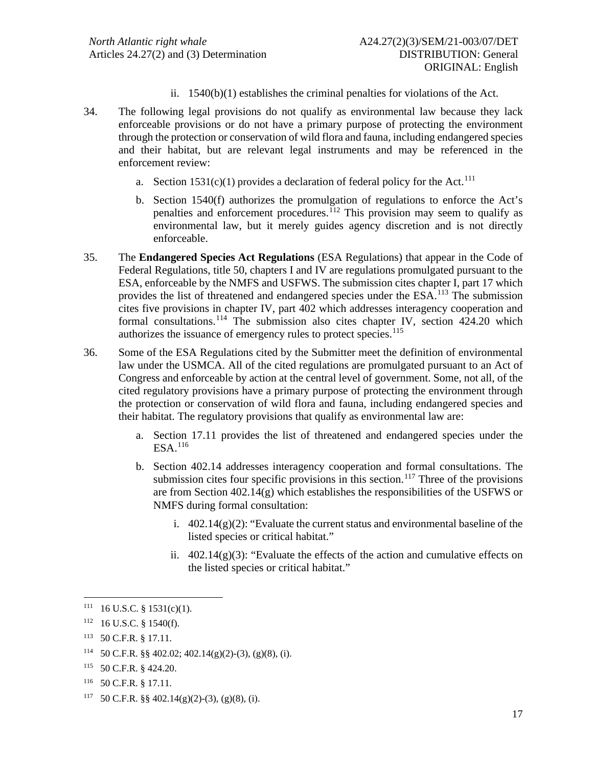- ii. 1540(b)(1) establishes the criminal penalties for violations of the Act.
- 34. The following legal provisions do not qualify as environmental law because they lack enforceable provisions or do not have a primary purpose of protecting the environment through the protection or conservation of wild flora and fauna, including endangered species and their habitat, but are relevant legal instruments and may be referenced in the enforcement review:
	- a. Section  $1531(c)(1)$  provides a declaration of federal policy for the Act.<sup>[111](#page-16-0)</sup>
	- b. Section 1540(f) authorizes the promulgation of regulations to enforce the Act's penalties and enforcement procedures.[112](#page-16-1) This provision may seem to qualify as environmental law, but it merely guides agency discretion and is not directly enforceable.
- 35. The **Endangered Species Act Regulations** (ESA Regulations) that appear in the Code of Federal Regulations, title 50, chapters I and IV are regulations promulgated pursuant to the ESA, enforceable by the NMFS and USFWS. The submission cites chapter I, part 17 which provides the list of threatened and endangered species under the ESA.<sup>[113](#page-16-2)</sup> The submission cites five provisions in chapter IV, part 402 which addresses interagency cooperation and formal consultations.<sup>[114](#page-16-3)</sup> The submission also cites chapter IV, section  $424.20$  which authorizes the issuance of emergency rules to protect species.<sup>[115](#page-16-4)</sup>
- 36. Some of the ESA Regulations cited by the Submitter meet the definition of environmental law under the USMCA. All of the cited regulations are promulgated pursuant to an Act of Congress and enforceable by action at the central level of government. Some, not all, of the cited regulatory provisions have a primary purpose of protecting the environment through the protection or conservation of wild flora and fauna, including endangered species and their habitat. The regulatory provisions that qualify as environmental law are:
	- a. Section 17.11 provides the list of threatened and endangered species under the ESA.[116](#page-16-5)
	- b. Section 402.14 addresses interagency cooperation and formal consultations. The submission cites four specific provisions in this section.<sup>[117](#page-16-6)</sup> Three of the provisions are from Section  $402.14(g)$  which establishes the responsibilities of the USFWS or NMFS during formal consultation:
		- i.  $402.14(g)(2)$ : "Evaluate the current status and environmental baseline of the listed species or critical habitat."
		- ii.  $402.14(g)(3)$ : "Evaluate the effects of the action and cumulative effects on the listed species or critical habitat."

<span id="page-16-0"></span> $111$  16 U.S.C. § 1531(c)(1).

<span id="page-16-1"></span><sup>112 16</sup> U.S.C. § 1540(f).

<span id="page-16-2"></span><sup>113 50</sup> C.F.R. § 17.11.

<span id="page-16-3"></span><sup>114 50</sup> C.F.R. §§ 402.02; 402.14(g)(2)-(3), (g)(8), (i).

<span id="page-16-4"></span><sup>115 50</sup> C.F.R. § 424.20.

<span id="page-16-5"></span><sup>116 50</sup> C.F.R. § 17.11.

<span id="page-16-6"></span><sup>117 50</sup> C.F.R.  $\S$  402.14(g)(2)-(3), (g)(8), (i).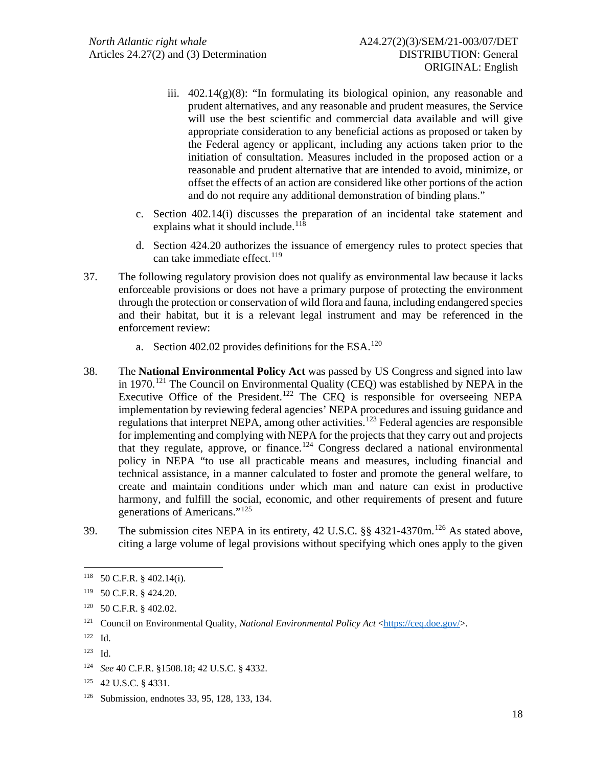- iii.  $402.14(g)(8)$ : "In formulating its biological opinion, any reasonable and prudent alternatives, and any reasonable and prudent measures, the Service will use the best scientific and commercial data available and will give appropriate consideration to any beneficial actions as proposed or taken by the Federal agency or applicant, including any actions taken prior to the initiation of consultation. Measures included in the proposed action or a reasonable and prudent alternative that are intended to avoid, minimize, or offset the effects of an action are considered like other portions of the action and do not require any additional demonstration of binding plans."
- c. Section 402.14(i) discusses the preparation of an incidental take statement and explains what it should include.<sup>[118](#page-17-0)</sup>
- d. Section 424.20 authorizes the issuance of emergency rules to protect species that can take immediate effect.<sup>[119](#page-17-1)</sup>
- 37. The following regulatory provision does not qualify as environmental law because it lacks enforceable provisions or does not have a primary purpose of protecting the environment through the protection or conservation of wild flora and fauna, including endangered species and their habitat, but it is a relevant legal instrument and may be referenced in the enforcement review:
	- a. Section 402.02 provides definitions for the ESA.<sup>[120](#page-17-2)</sup>
- 38. The **National Environmental Policy Act** was passed by US Congress and signed into law in 1970.<sup>[121](#page-17-3)</sup> The Council on Environmental Quality (CEQ) was established by NEPA in the Executive Office of the President.<sup>[122](#page-17-4)</sup> The CEQ is responsible for overseeing NEPA implementation by reviewing federal agencies' NEPA procedures and issuing guidance and regulations that interpret NEPA, among other activities.[123](#page-17-5) Federal agencies are responsible for implementing and complying with NEPA for the projects that they carry out and projects that they regulate, approve, or finance.<sup>[124](#page-17-6)</sup> Congress declared a national environmental policy in NEPA "to use all practicable means and measures, including financial and technical assistance, in a manner calculated to foster and promote the general welfare, to create and maintain conditions under which man and nature can exist in productive harmony, and fulfill the social, economic, and other requirements of present and future generations of Americans."[125](#page-17-7)
- 39. The submission cites NEPA in its entirety, 42 U.S.C. §§ 4321-4370m.[126](#page-17-8) As stated above, citing a large volume of legal provisions without specifying which ones apply to the given

<span id="page-17-0"></span><sup>118 50</sup> C.F.R. § 402.14(i).

<span id="page-17-1"></span><sup>119 50</sup> C.F.R. § 424.20.

<span id="page-17-2"></span><sup>120 50</sup> C.F.R. § 402.02.

<span id="page-17-3"></span><sup>&</sup>lt;sup>121</sup> Council on Environmental Quality, *National Environmental Policy Act* [<https://ceq.doe.gov/>](https://ceq.doe.gov/).

<span id="page-17-4"></span><sup>122</sup> Id.

<span id="page-17-5"></span><sup>123</sup> Id.

<span id="page-17-6"></span><sup>124</sup> *See* 40 C.F.R. §1508.18; 42 U.S.C. § 4332.

<span id="page-17-7"></span><sup>125 42</sup> U.S.C. § 4331.

<span id="page-17-8"></span><sup>126</sup> Submission, endnotes 33, 95, 128, 133, 134.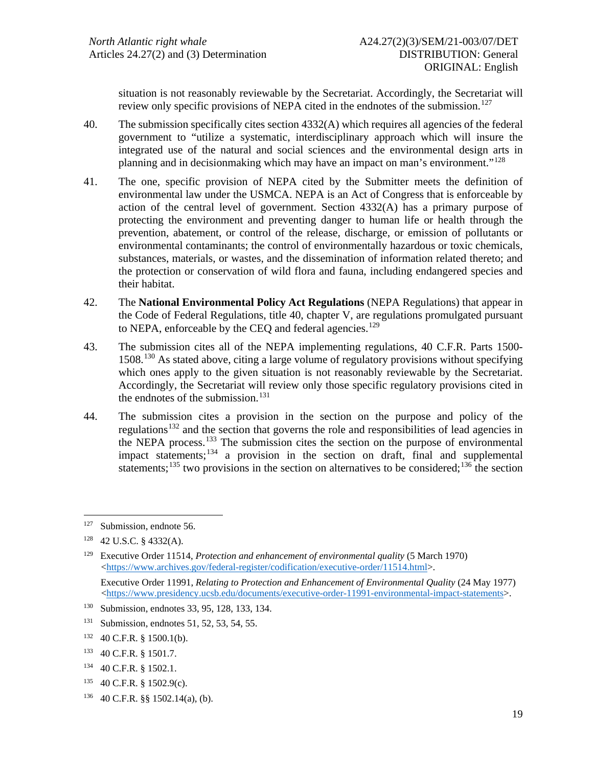situation is not reasonably reviewable by the Secretariat. Accordingly, the Secretariat will review only specific provisions of NEPA cited in the endnotes of the submission.<sup>[127](#page-18-0)</sup>

- 40. The submission specifically cites section 4332(A) which requires all agencies of the federal government to "utilize a systematic, interdisciplinary approach which will insure the integrated use of the natural and social sciences and the environmental design arts in planning and in decisionmaking which may have an impact on man's environment."<sup>[128](#page-18-1)</sup>
- 41. The one, specific provision of NEPA cited by the Submitter meets the definition of environmental law under the USMCA. NEPA is an Act of Congress that is enforceable by action of the central level of government. Section 4332(A) has a primary purpose of protecting the environment and preventing danger to human life or health through the prevention, abatement, or control of the release, discharge, or emission of pollutants or environmental contaminants; the control of environmentally hazardous or toxic chemicals, substances, materials, or wastes, and the dissemination of information related thereto; and the protection or conservation of wild flora and fauna, including endangered species and their habitat.
- 42. The **National Environmental Policy Act Regulations** (NEPA Regulations) that appear in the Code of Federal Regulations, title 40, chapter V, are regulations promulgated pursuant to NEPA, enforceable by the CEQ and federal agencies.<sup>[129](#page-18-2)</sup>
- 43. The submission cites all of the NEPA implementing regulations, 40 C.F.R. Parts 1500- 1508. [130](#page-18-3) As stated above, citing a large volume of regulatory provisions without specifying which ones apply to the given situation is not reasonably reviewable by the Secretariat. Accordingly, the Secretariat will review only those specific regulatory provisions cited in the endnotes of the submission. [131](#page-18-4)
- 44. The submission cites a provision in the section on the purpose and policy of the regulations<sup>[132](#page-18-5)</sup> and the section that governs the role and responsibilities of lead agencies in the NEPA process. [133](#page-18-6) The submission cites the section on the purpose of environmental impact statements;[134](#page-18-7) a provision in the section on draft, final and supplemental statements;<sup>[135](#page-18-8)</sup> two provisions in the section on alternatives to be considered;<sup>[136](#page-18-9)</sup> the section

<span id="page-18-9"></span>136 40 C.F.R. §§ 1502.14(a), (b).

<span id="page-18-0"></span><sup>127</sup> Submission, endnote 56.

<span id="page-18-1"></span><sup>128 42</sup> U.S.C. § 4332(A).

<span id="page-18-2"></span><sup>129</sup> Executive Order 11514, *Protection and enhancement of environmental quality* (5 March 1970) [<https://www.archives.gov/federal-register/codification/executive-order/11514.html>](https://www.archives.gov/federal-register/codification/executive-order/11514.html).

Executive Order 11991, *Relating to Protection and Enhancement of Environmental Quality* (24 May 1977) [<https://www.presidency.ucsb.edu/documents/executive-order-11991-environmental-impact-statements>](https://www.presidency.ucsb.edu/documents/executive-order-11991-environmental-impact-statements).

<span id="page-18-3"></span><sup>130</sup> Submission, endnotes 33, 95, 128, 133, 134.

<span id="page-18-4"></span><sup>&</sup>lt;sup>131</sup> Submission, endnotes 51, 52, 53, 54, 55.

<span id="page-18-5"></span><sup>132 40</sup> C.F.R. § 1500.1(b).

<span id="page-18-6"></span><sup>133 40</sup> C.F.R. § 1501.7.

<span id="page-18-7"></span><sup>134 40</sup> C.F.R. § 1502.1.

<span id="page-18-8"></span><sup>135 40</sup> C.F.R. § 1502.9(c).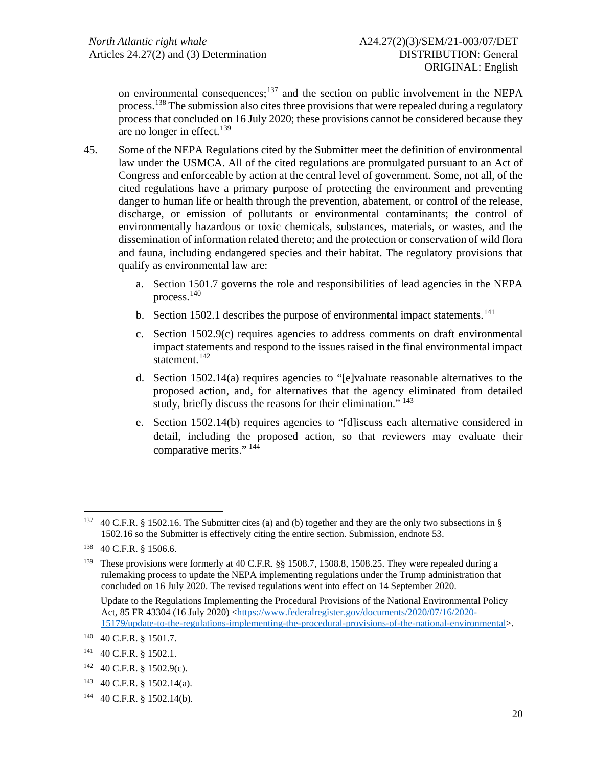on environmental consequences; $137$  and the section on public involvement in the NEPA process.<sup>[138](#page-19-1)</sup> The submission also cites three provisions that were repealed during a regulatory process that concluded on 16 July 2020; these provisions cannot be considered because they are no longer in effect. [139](#page-19-2)

- 45. Some of the NEPA Regulations cited by the Submitter meet the definition of environmental law under the USMCA. All of the cited regulations are promulgated pursuant to an Act of Congress and enforceable by action at the central level of government. Some, not all, of the cited regulations have a primary purpose of protecting the environment and preventing danger to human life or health through the prevention, abatement, or control of the release, discharge, or emission of pollutants or environmental contaminants; the control of environmentally hazardous or toxic chemicals, substances, materials, or wastes, and the dissemination of information related thereto; and the protection or conservation of wild flora and fauna, including endangered species and their habitat. The regulatory provisions that qualify as environmental law are:
	- a. Section 1501.7 governs the role and responsibilities of lead agencies in the NEPA process.[140](#page-19-3)
	- b. Section 1502.1 describes the purpose of environmental impact statements.<sup>[141](#page-19-4)</sup>
	- c. Section 1502.9(c) requires agencies to address comments on draft environmental impact statements and respond to the issues raised in the final environmental impact statement.<sup>[142](#page-19-5)</sup>
	- d. Section 1502.14(a) requires agencies to "[e]valuate reasonable alternatives to the proposed action, and, for alternatives that the agency eliminated from detailed study, briefly discuss the reasons for their elimination."<sup>[143](#page-19-6)</sup>
	- e. Section 1502.14(b) requires agencies to "[d]iscuss each alternative considered in detail, including the proposed action, so that reviewers may evaluate their comparative merits." [144](#page-19-7)

<span id="page-19-0"></span><sup>137 40</sup> C.F.R. § 1502.16. The Submitter cites (a) and (b) together and they are the only two subsections in § 1502.16 so the Submitter is effectively citing the entire section. Submission, endnote 53.

<span id="page-19-1"></span><sup>138 40</sup> C.F.R. § 1506.6.

<span id="page-19-2"></span><sup>&</sup>lt;sup>139</sup> These provisions were formerly at 40 C.F.R. §§ 1508.7, 1508.8, 1508.25. They were repealed during a rulemaking process to update the NEPA implementing regulations under the Trump administration that concluded on 16 July 2020. The revised regulations went into effect on 14 September 2020.

Update to the Regulations Implementing the Procedural Provisions of the National Environmental Policy Act, 85 FR 43304 (16 July 2020) [<https://www.federalregister.gov/documents/2020/07/16/2020-](https://www.federalregister.gov/documents/2020/07/16/2020-15179/update-to-the-regulations-implementing-the-procedural-provisions-of-the-national-environmental) [15179/update-to-the-regulations-implementing-the-procedural-provisions-of-the-national-environmental>](https://www.federalregister.gov/documents/2020/07/16/2020-15179/update-to-the-regulations-implementing-the-procedural-provisions-of-the-national-environmental).

<span id="page-19-3"></span><sup>140 40</sup> C.F.R. § 1501.7.

<span id="page-19-4"></span><sup>141 40</sup> C.F.R. § 1502.1.

<span id="page-19-5"></span><sup>142 40</sup> C.F.R. § 1502.9(c).

<span id="page-19-6"></span><sup>143 40</sup> C.F.R. § 1502.14(a).

<span id="page-19-7"></span><sup>144 40</sup> C.F.R. § 1502.14(b).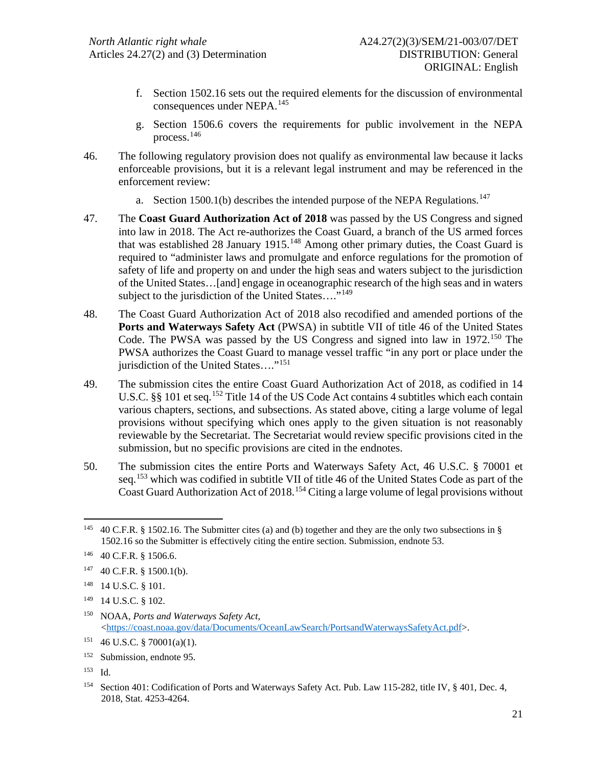- f. Section 1502.16 sets out the required elements for the discussion of environmental consequences under NEPA.[145](#page-20-0)
- g. Section 1506.6 covers the requirements for public involvement in the NEPA process.[146](#page-20-1)
- 46. The following regulatory provision does not qualify as environmental law because it lacks enforceable provisions, but it is a relevant legal instrument and may be referenced in the enforcement review:
	- a. Section 1500.1(b) describes the intended purpose of the NEPA Regulations.<sup>[147](#page-20-2)</sup>
- 47. The **Coast Guard Authorization Act of 2018** was passed by the US Congress and signed into law in 2018. The Act re-authorizes the Coast Guard, a branch of the US armed forces that was established 28 January 1915.<sup>[148](#page-20-3)</sup> Among other primary duties, the Coast Guard is required to "administer laws and promulgate and enforce regulations for the promotion of safety of life and property on and under the high seas and waters subject to the jurisdiction of the United States…[and] engage in oceanographic research of the high seas and in waters subject to the jurisdiction of the United States...."<sup>[149](#page-20-4)</sup>
- 48. The Coast Guard Authorization Act of 2018 also recodified and amended portions of the **Ports and Waterways Safety Act** (PWSA) in subtitle VII of title 46 of the United States Code. The PWSA was passed by the US Congress and signed into law in 1972.<sup>[150](#page-20-5)</sup> The PWSA authorizes the Coast Guard to manage vessel traffic "in any port or place under the jurisdiction of the United States...."<sup>[151](#page-20-6)</sup>
- 49. The submission cites the entire Coast Guard Authorization Act of 2018, as codified in 14 U.S.C. §§ 101 et seq.<sup>[152](#page-20-7)</sup> Title 14 of the US Code Act contains 4 subtitles which each contain various chapters, sections, and subsections. As stated above, citing a large volume of legal provisions without specifying which ones apply to the given situation is not reasonably reviewable by the Secretariat. The Secretariat would review specific provisions cited in the submission, but no specific provisions are cited in the endnotes.
- 50. The submission cites the entire Ports and Waterways Safety Act, 46 U.S.C. § 70001 et seq.<sup>[153](#page-20-8)</sup> which was codified in subtitle VII of title 46 of the United States Code as part of the Coast Guard Authorization Act of 2018.<sup>[154](#page-20-9)</sup> Citing a large volume of legal provisions without

<span id="page-20-5"></span>150 NOAA, *Ports and Waterways Safety Act*, [<https://coast.noaa.gov/data/Documents/OceanLawSearch/PortsandWaterwaysSafetyAct.pdf>](https://coast.noaa.gov/data/Documents/OceanLawSearch/PortsandWaterwaysSafetyAct.pdf).

<span id="page-20-8"></span>153 Id.

<span id="page-20-0"></span><sup>&</sup>lt;sup>145</sup> 40 C.F.R. § 1502.16. The Submitter cites (a) and (b) together and they are the only two subsections in § 1502.16 so the Submitter is effectively citing the entire section. Submission, endnote 53.

<span id="page-20-1"></span><sup>146 40</sup> C.F.R. § 1506.6.

<span id="page-20-2"></span> $147$  40 C.F.R. § 1500.1(b).

<span id="page-20-3"></span><sup>148 14</sup> U.S.C. § 101.

<span id="page-20-4"></span><sup>149 14</sup> U.S.C. § 102.

<span id="page-20-6"></span><sup>151 46</sup> U.S.C. § 70001(a)(1).

<span id="page-20-7"></span><sup>152</sup> Submission, endnote 95.

<span id="page-20-9"></span><sup>154</sup> Section 401: Codification of Ports and Waterways Safety Act. Pub. Law 115-282, title IV, § 401, Dec. 4, 2018, Stat. 4253-4264.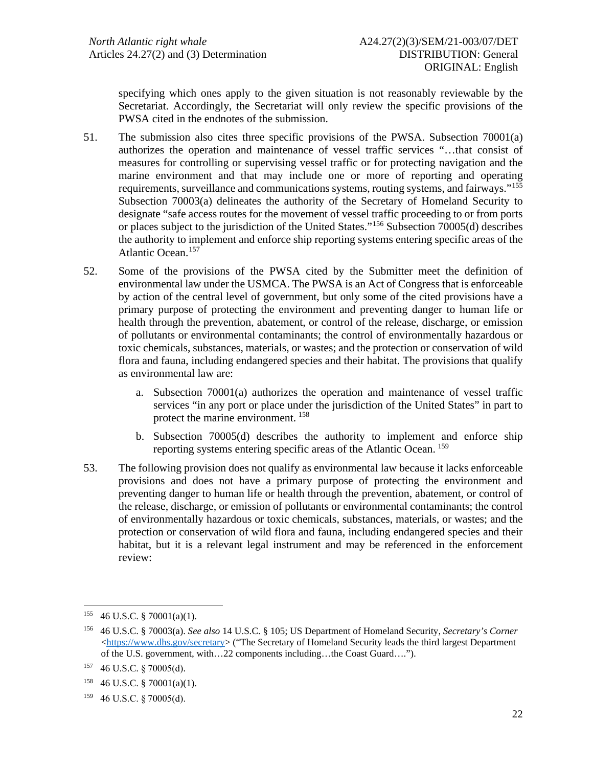specifying which ones apply to the given situation is not reasonably reviewable by the Secretariat. Accordingly, the Secretariat will only review the specific provisions of the PWSA cited in the endnotes of the submission.

- 51. The submission also cites three specific provisions of the PWSA. Subsection 70001(a) authorizes the operation and maintenance of vessel traffic services "…that consist of measures for controlling or supervising vessel traffic or for protecting navigation and the marine environment and that may include one or more of reporting and operating requirements, surveillance and communications systems, routing systems, and fairways."[155](#page-21-0) Subsection 70003(a) delineates the authority of the Secretary of Homeland Security to designate "safe access routes for the movement of vessel traffic proceeding to or from ports or places subject to the jurisdiction of the United States."[156](#page-21-1) Subsection 70005(d) describes the authority to implement and enforce ship reporting systems entering specific areas of the Atlantic Ocean.<sup>[157](#page-21-2)</sup>
- 52. Some of the provisions of the PWSA cited by the Submitter meet the definition of environmental law under the USMCA. The PWSA is an Act of Congress that is enforceable by action of the central level of government, but only some of the cited provisions have a primary purpose of protecting the environment and preventing danger to human life or health through the prevention, abatement, or control of the release, discharge, or emission of pollutants or environmental contaminants; the control of environmentally hazardous or toxic chemicals, substances, materials, or wastes; and the protection or conservation of wild flora and fauna, including endangered species and their habitat. The provisions that qualify as environmental law are:
	- a. Subsection 70001(a) authorizes the operation and maintenance of vessel traffic services "in any port or place under the jurisdiction of the United States" in part to protect the marine environment. [158](#page-21-3)
	- b. Subsection 70005(d) describes the authority to implement and enforce ship reporting systems entering specific areas of the Atlantic Ocean. [159](#page-21-4)
- 53. The following provision does not qualify as environmental law because it lacks enforceable provisions and does not have a primary purpose of protecting the environment and preventing danger to human life or health through the prevention, abatement, or control of the release, discharge, or emission of pollutants or environmental contaminants; the control of environmentally hazardous or toxic chemicals, substances, materials, or wastes; and the protection or conservation of wild flora and fauna, including endangered species and their habitat, but it is a relevant legal instrument and may be referenced in the enforcement review:

<span id="page-21-0"></span> $155$  46 U.S.C. § 70001(a)(1).

<span id="page-21-1"></span><sup>156 46</sup> U.S.C. § 70003(a). *See also* 14 U.S.C. § 105; US Department of Homeland Security, *Secretary's Corner*  $\langle$ https://www.dhs.gov/secretary> ("The Secretary of Homeland Security leads the third largest Department of the U.S. government, with…22 components including…the Coast Guard….").

<span id="page-21-2"></span><sup>157 46</sup> U.S.C. § 70005(d).

<span id="page-21-3"></span> $158$  46 U.S.C. § 70001(a)(1).

<span id="page-21-4"></span><sup>159</sup> 46 U.S.C. § 70005(d).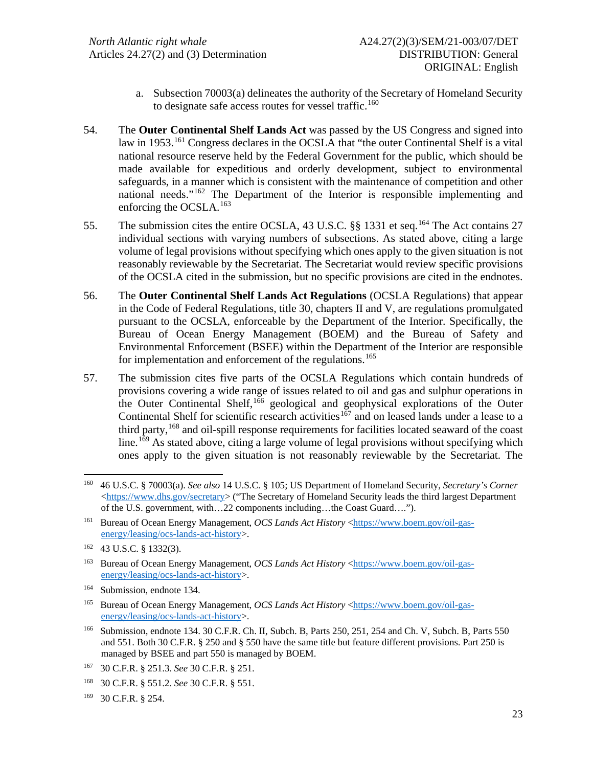- a. Subsection 70003(a) delineates the authority of the Secretary of Homeland Security to designate safe access routes for vessel traffic.<sup>[160](#page-22-0)</sup>
- 54. The **Outer Continental Shelf Lands Act** was passed by the US Congress and signed into law in 1953.<sup>[161](#page-22-1)</sup> Congress declares in the OCSLA that "the outer Continental Shelf is a vital national resource reserve held by the Federal Government for the public, which should be made available for expeditious and orderly development, subject to environmental safeguards, in a manner which is consistent with the maintenance of competition and other national needs."[162](#page-22-2) The Department of the Interior is responsible implementing and enforcing the OCSLA.<sup>[163](#page-22-3)</sup>
- 55. The submission cites the entire OCSLA, 43 U.S.C. §§ 1331 et seq.<sup>[164](#page-22-4)</sup> The Act contains 27 individual sections with varying numbers of subsections. As stated above, citing a large volume of legal provisions without specifying which ones apply to the given situation is not reasonably reviewable by the Secretariat. The Secretariat would review specific provisions of the OCSLA cited in the submission, but no specific provisions are cited in the endnotes.
- 56. The **Outer Continental Shelf Lands Act Regulations** (OCSLA Regulations) that appear in the Code of Federal Regulations, title 30, chapters II and V, are regulations promulgated pursuant to the OCSLA, enforceable by the Department of the Interior. Specifically, the Bureau of Ocean Energy Management (BOEM) and the Bureau of Safety and Environmental Enforcement (BSEE) within the Department of the Interior are responsible for implementation and enforcement of the regulations.<sup>[165](#page-22-5)</sup>
- 57. The submission cites five parts of the OCSLA Regulations which contain hundreds of provisions covering a wide range of issues related to oil and gas and sulphur operations in the Outer Continental Shelf, [166](#page-22-6) geological and geophysical explorations of the Outer Continental Shelf for scientific research activities<sup>[167](#page-22-7)</sup> and on leased lands under a lease to a third party,[168](#page-22-8) and oil-spill response requirements for facilities located seaward of the coast line.<sup>[169](#page-22-9)</sup> As stated above, citing a large volume of legal provisions without specifying which ones apply to the given situation is not reasonably reviewable by the Secretariat. The

<span id="page-22-4"></span>164 Submission, endnote 134.

<span id="page-22-7"></span>167 30 C.F.R. § 251.3. *See* 30 C.F.R. § 251.

<span id="page-22-9"></span>169 30 C.F.R. § 254.

<span id="page-22-0"></span><sup>160 46</sup> U.S.C. § 70003(a). *See also* 14 U.S.C. § 105; US Department of Homeland Security, *Secretary's Corner* [<https://www.dhs.gov/secretary>](https://www.dhs.gov/secretary) ("The Secretary of Homeland Security leads the third largest Department of the U.S. government, with…22 components including…the Coast Guard….").

<span id="page-22-1"></span><sup>&</sup>lt;sup>161</sup> Bureau of Ocean Energy Management, *OCS Lands Act History* [<https://www.boem.gov/oil-gas](https://www.boem.gov/oil-gas-energy/leasing/ocs-lands-act-history)[energy/leasing/ocs-lands-act-history>](https://www.boem.gov/oil-gas-energy/leasing/ocs-lands-act-history).

<span id="page-22-2"></span><sup>162 43</sup> U.S.C. § 1332(3).

<span id="page-22-3"></span><sup>&</sup>lt;sup>163</sup> Bureau of Ocean Energy Management, *OCS Lands Act History* [<https://www.boem.gov/oil-gas](https://www.boem.gov/oil-gas-energy/leasing/ocs-lands-act-history)[energy/leasing/ocs-lands-act-history>](https://www.boem.gov/oil-gas-energy/leasing/ocs-lands-act-history).

<span id="page-22-5"></span><sup>&</sup>lt;sup>165</sup> Bureau of Ocean Energy Management, *OCS Lands Act History* [<https://www.boem.gov/oil-gas](https://www.boem.gov/oil-gas-energy/leasing/ocs-lands-act-history)[energy/leasing/ocs-lands-act-history>](https://www.boem.gov/oil-gas-energy/leasing/ocs-lands-act-history).

<span id="page-22-6"></span><sup>166</sup> Submission, endnote 134. 30 C.F.R. Ch. II, Subch. B, Parts 250, 251, 254 and Ch. V, Subch. B, Parts 550 and 551. Both 30 C.F.R. § 250 and § 550 have the same title but feature different provisions. Part 250 is managed by BSEE and part 550 is managed by BOEM.

<span id="page-22-8"></span><sup>168 30</sup> C.F.R. § 551.2. *See* 30 C.F.R. § 551.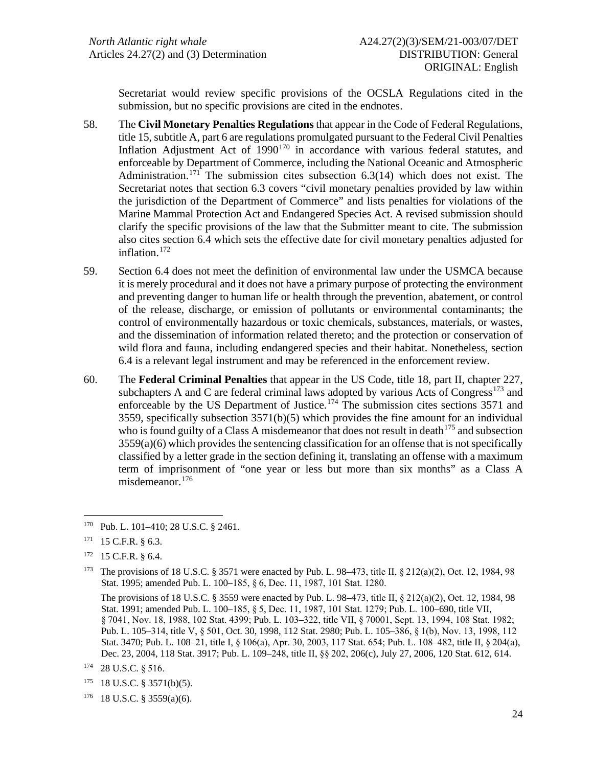Secretariat would review specific provisions of the OCSLA Regulations cited in the submission, but no specific provisions are cited in the endnotes.

- 58. The **Civil Monetary Penalties Regulations** that appear in the Code of Federal Regulations, title 15, subtitle A, part 6 are regulations promulgated pursuant to the Federal Civil Penalties Inflation Adjustment Act of  $1990^{170}$  $1990^{170}$  $1990^{170}$  in accordance with various federal statutes, and enforceable by Department of Commerce, including the National Oceanic and Atmospheric Administration.<sup>[171](#page-23-1)</sup> The submission cites subsection 6.3(14) which does not exist. The Secretariat notes that section 6.3 covers "civil monetary penalties provided by law within the jurisdiction of the Department of Commerce" and lists penalties for violations of the Marine Mammal Protection Act and Endangered Species Act. A revised submission should clarify the specific provisions of the law that the Submitter meant to cite. The submission also cites section 6.4 which sets the effective date for civil monetary penalties adjusted for inflation.<sup>[172](#page-23-2)</sup>
- 59. Section 6.4 does not meet the definition of environmental law under the USMCA because it is merely procedural and it does not have a primary purpose of protecting the environment and preventing danger to human life or health through the prevention, abatement, or control of the release, discharge, or emission of pollutants or environmental contaminants; the control of environmentally hazardous or toxic chemicals, substances, materials, or wastes, and the dissemination of information related thereto; and the protection or conservation of wild flora and fauna, including endangered species and their habitat. Nonetheless, section 6.4 is a relevant legal instrument and may be referenced in the enforcement review.
- 60. The **Federal Criminal Penalties** that appear in the US Code, title 18, part II, chapter 227, subchapters A and C are federal criminal laws adopted by various Acts of Congress<sup>[173](#page-23-3)</sup> and enforceable by the US Department of Justice.<sup>[174](#page-23-4)</sup> The submission cites sections  $3571$  and 3559, specifically subsection  $3571(b)(5)$  which provides the fine amount for an individual who is found guilty of a Class A misdemeanor that does not result in death<sup>[175](#page-23-5)</sup> and subsection  $3559(a)(6)$  which provides the sentencing classification for an offense that is not specifically classified by a letter grade in the section defining it, translating an offense with a maximum term of imprisonment of "one year or less but more than six months" as a Class A misdemeanor. [176](#page-23-6)

<span id="page-23-0"></span><sup>170</sup> Pub. L. 101–410; 28 U.S.C. § 2461.

<span id="page-23-1"></span> $171$  15 C.F.R. § 6.3.

<span id="page-23-2"></span><sup>172 15</sup> C.F.R. § 6.4.

<span id="page-23-3"></span><sup>&</sup>lt;sup>173</sup> The provisions of 18 U.S.C. § 3571 were enacted by Pub. L. 98–473, title II, § 212(a)(2), Oct. 12, 1984, 98 Stat. 1995; amended Pub. L. 100–185, § 6, Dec. 11, 1987, 101 Stat. 1280.

The provisions of 18 U.S.C. § 3559 were enacted by Pub. L. 98–473, title II, § 212(a)(2), Oct. 12, 1984, 98 Stat. 1991; amended Pub. L. 100–185, § 5, Dec. 11, 1987, 101 Stat. 1279; Pub. L. 100–690, title VII, § 7041, Nov. 18, 1988, 102 Stat. 4399; Pub. L. 103-322, title VII, § 70001, Sept. 13, 1994, 108 Stat. 1982; Pub. L. 105–314, title V, § 501, Oct. 30, 1998, 112 Stat. 2980; Pub. L. 105–386, § 1(b), Nov. 13, 1998, 112 Stat. 3470; Pub. L. 108–21, title I, § 106(a), Apr. 30, 2003, 117 Stat. 654; Pub. L. 108–482, title II, § 204(a), Dec. 23, 2004, 118 Stat. 3917; Pub. L. 109–248, title II, §§ 202, 206(c), July 27, 2006, 120 Stat. 612, 614.

<span id="page-23-4"></span><sup>174 28</sup> U.S.C. § 516.

<span id="page-23-5"></span> $175$  18 U.S.C. § 3571(b)(5).

<span id="page-23-6"></span> $176$  18 U.S.C. § 3559(a)(6).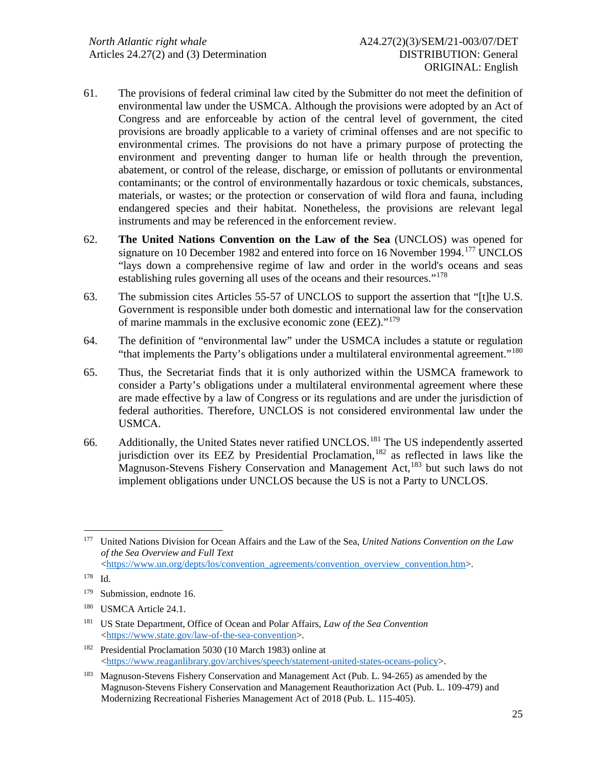- 61. The provisions of federal criminal law cited by the Submitter do not meet the definition of environmental law under the USMCA. Although the provisions were adopted by an Act of Congress and are enforceable by action of the central level of government, the cited provisions are broadly applicable to a variety of criminal offenses and are not specific to environmental crimes. The provisions do not have a primary purpose of protecting the environment and preventing danger to human life or health through the prevention, abatement, or control of the release, discharge, or emission of pollutants or environmental contaminants; or the control of environmentally hazardous or toxic chemicals, substances, materials, or wastes; or the protection or conservation of wild flora and fauna, including endangered species and their habitat. Nonetheless, the provisions are relevant legal instruments and may be referenced in the enforcement review.
- 62. **The United Nations Convention on the Law of the Sea** (UNCLOS) was opened for signature on 10 December 1982 and entered into force on 16 November 1994.<sup>[177](#page-24-0)</sup> UNCLOS "lays down a comprehensive regime of law and order in the world's oceans and seas establishing rules governing all uses of the oceans and their resources."<sup>[178](#page-24-1)</sup>
- 63. The submission cites Articles 55-57 of UNCLOS to support the assertion that "[t]he U.S. Government is responsible under both domestic and international law for the conservation of marine mammals in the exclusive economic zone (EEZ)."[179](#page-24-2)
- 64. The definition of "environmental law" under the USMCA includes a statute or regulation "that implements the Party's obligations under a multilateral environmental agreement."<sup>[180](#page-24-3)</sup>
- 65. Thus, the Secretariat finds that it is only authorized within the USMCA framework to consider a Party's obligations under a multilateral environmental agreement where these are made effective by a law of Congress or its regulations and are under the jurisdiction of federal authorities. Therefore, UNCLOS is not considered environmental law under the USMCA.
- 66. Additionally, the United States never ratified UNCLOS.[181](#page-24-4) The US independently asserted jurisdiction over its EEZ by Presidential Proclamation, [182](#page-24-5) as reflected in laws like the Magnuson-Stevens Fishery Conservation and Management Act, <sup>[183](#page-24-6)</sup> but such laws do not implement obligations under UNCLOS because the US is not a Party to UNCLOS.

<span id="page-24-0"></span><sup>177</sup> United Nations Division for Ocean Affairs and the Law of the Sea, *United Nations Convention on the Law of the Sea Overview and Full Text* [<https://www.un.org/depts/los/convention\\_agreements/convention\\_overview\\_convention.htm>](https://www.un.org/depts/los/convention_agreements/convention_overview_convention.htm).

<span id="page-24-1"></span><sup>178</sup> Id.

<span id="page-24-2"></span><sup>179</sup> Submission, endnote 16.

<span id="page-24-3"></span><sup>&</sup>lt;sup>180</sup> USMCA Article 24.1.

<span id="page-24-4"></span><sup>181</sup> US State Department, Office of Ocean and Polar Affairs, *Law of the Sea Convention* [<https://www.state.gov/law-of-the-sea-convention>](https://www.state.gov/law-of-the-sea-convention).

<span id="page-24-5"></span><sup>182</sup> Presidential Proclamation 5030 (10 March 1983) online at [<https://www.reaganlibrary.gov/archives/speech/statement-united-states-oceans-policy>](https://www.reaganlibrary.gov/archives/speech/statement-united-states-oceans-policy).

<span id="page-24-6"></span><sup>&</sup>lt;sup>183</sup> Magnuson-Stevens Fishery Conservation and Management Act (Pub. L. 94-265) as amended by the Magnuson-Stevens Fishery Conservation and Management Reauthorization Act (Pub. L. 109-479) and Modernizing Recreational Fisheries Management Act of 2018 (Pub. L. 115-405).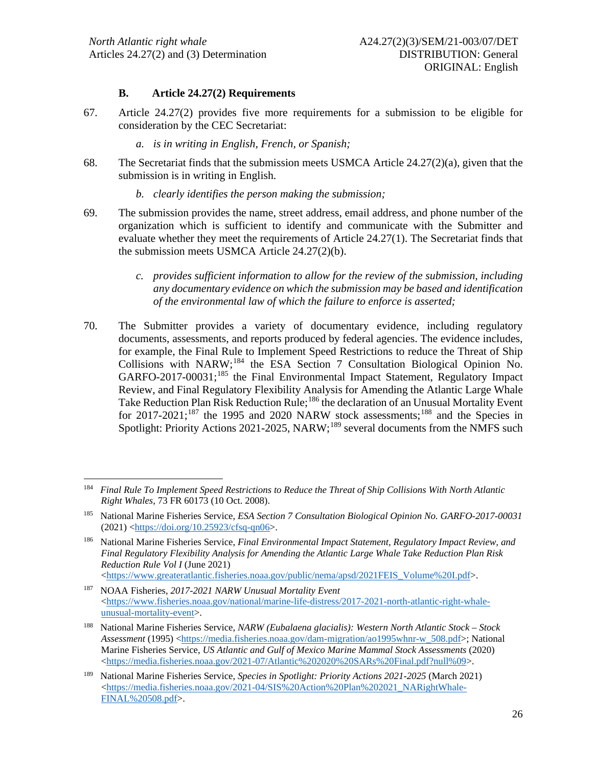### **B. Article 24.27(2) Requirements**

- 67. Article 24.27(2) provides five more requirements for a submission to be eligible for consideration by the CEC Secretariat:
	- *a. is in writing in English, French, or Spanish;*
- 68. The Secretariat finds that the submission meets USMCA Article  $24.27(2)(a)$ , given that the submission is in writing in English.
	- *b. clearly identifies the person making the submission;*
- 69. The submission provides the name, street address, email address, and phone number of the organization which is sufficient to identify and communicate with the Submitter and evaluate whether they meet the requirements of Article 24.27(1). The Secretariat finds that the submission meets USMCA Article 24.27(2)(b).
	- *c. provides sufficient information to allow for the review of the submission, including any documentary evidence on which the submission may be based and identification of the environmental law of which the failure to enforce is asserted;*
- 70. The Submitter provides a variety of documentary evidence, including regulatory documents, assessments, and reports produced by federal agencies. The evidence includes, for example, the Final Rule to Implement Speed Restrictions to reduce the Threat of Ship Collisions with NARW;<sup>[184](#page-25-0)</sup> the ESA Section 7 Consultation Biological Opinion No. GARFO-2017-00031;<sup>[185](#page-25-1)</sup> the Final Environmental Impact Statement, Regulatory Impact Review, and Final Regulatory Flexibility Analysis for Amending the Atlantic Large Whale Take Reduction Plan Risk Reduction Rule;<sup>[186](#page-25-2)</sup> the declaration of an Unusual Mortality Event for  $2017-2021$ ;<sup>[187](#page-25-3)</sup> the 1995 and 2020 NARW stock assessments;<sup>[188](#page-25-4)</sup> and the Species in Spotlight: Priority Actions 2021-2025, NARW;<sup>[189](#page-25-5)</sup> several documents from the NMFS such

<span id="page-25-0"></span><sup>184</sup> *Final Rule To Implement Speed Restrictions to Reduce the Threat of Ship Collisions With North Atlantic Right Whales*, 73 FR 60173 (10 Oct. 2008).

<span id="page-25-1"></span><sup>185</sup> National Marine Fisheries Service, *ESA Section 7 Consultation Biological Opinion No. GARFO-2017-00031* (2021) [<https://doi.org/10.25923/cfsq-qn06>](https://doi.org/10.25923/cfsq-qn06).

<span id="page-25-2"></span><sup>186</sup> National Marine Fisheries Service, *Final Environmental Impact Statement, Regulatory Impact Review, and Final Regulatory Flexibility Analysis for Amending the Atlantic Large Whale Take Reduction Plan Risk Reduction Rule Vol I* (June 2021) [<https://www.greateratlantic.fisheries.noaa.gov/public/nema/apsd/2021FEIS\\_Volume%20I.pdf>](https://www.greateratlantic.fisheries.noaa.gov/public/nema/apsd/2021FEIS_Volume%20I.pdf).

<span id="page-25-3"></span><sup>187</sup> NOAA Fisheries, *2017-2021 NARW Unusual Mortality Event*  $\langle$ https://www.fisheries.noaa.gov/national/marine-life-distress/2017-2021-north-atlantic-right-whale[unusual-mortality-event>](https://www.fisheries.noaa.gov/national/marine-life-distress/2017-2021-north-atlantic-right-whale-unusual-mortality-event).

<span id="page-25-4"></span><sup>188</sup> National Marine Fisheries Service, *NARW (Eubalaena glacialis): Western North Atlantic Stock – Stock Assessment* (1995) [<https://media.fisheries.noaa.gov/dam-migration/ao1995whnr-w\\_508.pdf>](https://media.fisheries.noaa.gov/dam-migration/ao1995whnr-w_508.pdf); National Marine Fisheries Service, *US Atlantic and Gulf of Mexico Marine Mammal Stock Assessments* (2020) [<https://media.fisheries.noaa.gov/2021-07/Atlantic%202020%20SARs%20Final.pdf?null%09>](https://media.fisheries.noaa.gov/2021-07/Atlantic%202020%20SARs%20Final.pdf?null%09).

<span id="page-25-5"></span><sup>189</sup> National Marine Fisheries Service, *Species in Spotlight: Priority Actions 2021-2025* (March 2021) [<https://media.fisheries.noaa.gov/2021-04/SIS%20Action%20Plan%202021\\_NARightWhale-](https://media.fisheries.noaa.gov/2021-04/SIS%20Action%20Plan%202021_NARightWhale-FINAL%20508.pdf)[FINAL%20508.pdf>](https://media.fisheries.noaa.gov/2021-04/SIS%20Action%20Plan%202021_NARightWhale-FINAL%20508.pdf).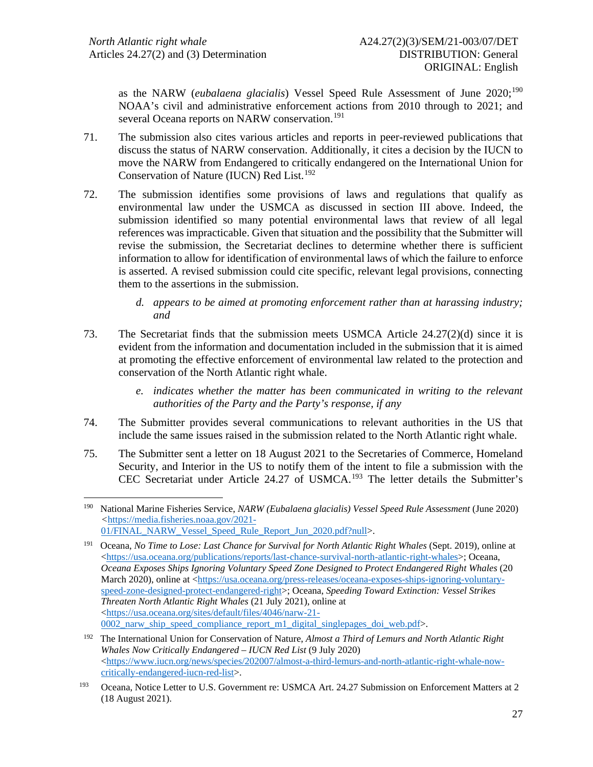as the NARW (*eubalaena glacialis*) Vessel Speed Rule Assessment of June 2020; [190](#page-26-0) NOAA's civil and administrative enforcement actions from 2010 through to 2021; and several Oceana reports on NARW conservation.<sup>[191](#page-26-1)</sup>

- 71. The submission also cites various articles and reports in peer-reviewed publications that discuss the status of NARW conservation. Additionally, it cites a decision by the IUCN to move the NARW from Endangered to critically endangered on the International Union for Conservation of Nature (IUCN) Red List. [192](#page-26-2)
- 72. The submission identifies some provisions of laws and regulations that qualify as environmental law under the USMCA as discussed in section III above. Indeed, the submission identified so many potential environmental laws that review of all legal references was impracticable. Given that situation and the possibility that the Submitter will revise the submission, the Secretariat declines to determine whether there is sufficient information to allow for identification of environmental laws of which the failure to enforce is asserted. A revised submission could cite specific, relevant legal provisions, connecting them to the assertions in the submission.
	- *d. appears to be aimed at promoting enforcement rather than at harassing industry; and*
- 73. The Secretariat finds that the submission meets USMCA Article 24.27(2)(d) since it is evident from the information and documentation included in the submission that it is aimed at promoting the effective enforcement of environmental law related to the protection and conservation of the North Atlantic right whale.
	- *e. indicates whether the matter has been communicated in writing to the relevant authorities of the Party and the Party's response, if any*
- 74. The Submitter provides several communications to relevant authorities in the US that include the same issues raised in the submission related to the North Atlantic right whale.
- 75. The Submitter sent a letter on 18 August 2021 to the Secretaries of Commerce, Homeland Security, and Interior in the US to notify them of the intent to file a submission with the CEC Secretariat under Article 24.27 of USMCA. [193](#page-26-3) The letter details the Submitter's

<span id="page-26-0"></span><sup>&</sup>lt;sup>190</sup> National Marine Fisheries Service, *NARW (Eubalaena glacialis) Vessel Speed Rule Assessment* (June 2020) *<*[https://media.fisheries.noaa.gov/2021-](https://media.fisheries.noaa.gov/2021-01/FINAL_NARW_Vessel_Speed_Rule_Report_Jun_2020.pdf?null) [01/FINAL\\_NARW\\_Vessel\\_Speed\\_Rule\\_Report\\_Jun\\_2020.pdf?null>](https://media.fisheries.noaa.gov/2021-01/FINAL_NARW_Vessel_Speed_Rule_Report_Jun_2020.pdf?null).

<span id="page-26-1"></span><sup>191</sup> Oceana, *No Time to Lose: Last Chance for Survival for North Atlantic Right Whales* (Sept. 2019), online at [<https://usa.oceana.org/publications/reports/last-chance-survival-north-atlantic-right-whales>](https://usa.oceana.org/publications/reports/last-chance-survival-north-atlantic-right-whales); Oceana, *Oceana Exposes Ships Ignoring Voluntary Speed Zone Designed to Protect Endangered Right Whales* (20 March 2020), online at [<https://usa.oceana.org/press-releases/oceana-exposes-ships-ignoring-voluntary](https://usa.oceana.org/press-releases/oceana-exposes-ships-ignoring-voluntary-speed-zone-designed-protect-endangered-right)[speed-zone-designed-protect-endangered-right>](https://usa.oceana.org/press-releases/oceana-exposes-ships-ignoring-voluntary-speed-zone-designed-protect-endangered-right); Oceana, *Speeding Toward Extinction: Vessel Strikes Threaten North Atlantic Right Whales* (21 July 2021), online at [<https://usa.oceana.org/sites/default/files/4046/narw-21-](https://usa.oceana.org/sites/default/files/4046/narw-21-0002_narw_ship_speed_compliance_report_m1_digital_singlepages_doi_web.pdf) 0002 narw ship speed compliance report m1 digital singlepages doi web.pdf>.

<span id="page-26-2"></span><sup>192</sup> The International Union for Conservation of Nature, *Almost a Third of Lemurs and North Atlantic Right Whales Now Critically Endangered – IUCN Red List* (9 July 2020)  $\langle$ https://www.iucn.org/news/species/202007/almost-a-third-lemurs-and-north-atlantic-right-whale-now[critically-endangered-iucn-red-list>](https://www.iucn.org/news/species/202007/almost-a-third-lemurs-and-north-atlantic-right-whale-now-critically-endangered-iucn-red-list).

<span id="page-26-3"></span><sup>&</sup>lt;sup>193</sup> Oceana, Notice Letter to U.S. Government re: USMCA Art. 24.27 Submission on Enforcement Matters at 2 (18 August 2021).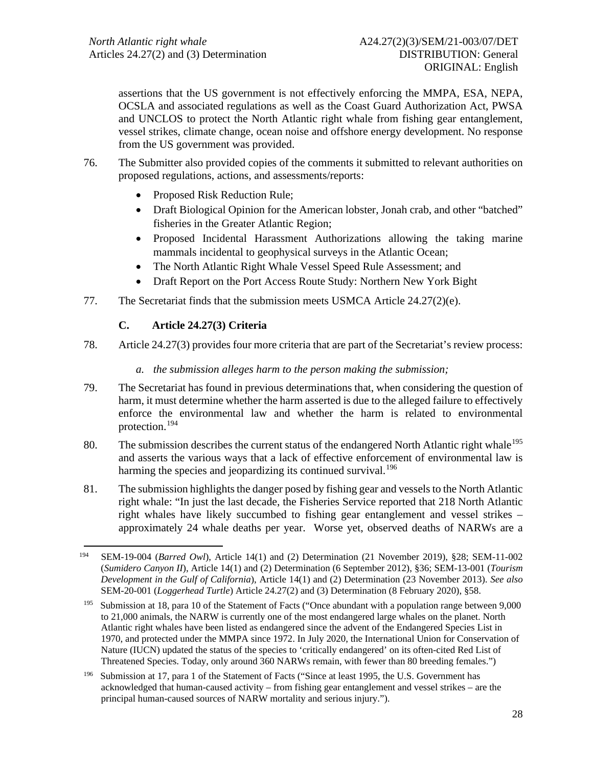assertions that the US government is not effectively enforcing the MMPA, ESA, NEPA, OCSLA and associated regulations as well as the Coast Guard Authorization Act, PWSA and UNCLOS to protect the North Atlantic right whale from fishing gear entanglement, vessel strikes, climate change, ocean noise and offshore energy development. No response from the US government was provided.

- 76. The Submitter also provided copies of the comments it submitted to relevant authorities on proposed regulations, actions, and assessments/reports:
	- Proposed Risk Reduction Rule;
	- Draft Biological Opinion for the American lobster, Jonah crab, and other "batched" fisheries in the Greater Atlantic Region;
	- Proposed Incidental Harassment Authorizations allowing the taking marine mammals incidental to geophysical surveys in the Atlantic Ocean;
	- The North Atlantic Right Whale Vessel Speed Rule Assessment; and
	- Draft Report on the Port Access Route Study: Northern New York Bight
- 77. The Secretariat finds that the submission meets USMCA Article 24.27(2)(e).

# **C. Article 24.27(3) Criteria**

- 78. Article 24.27(3) provides four more criteria that are part of the Secretariat's review process:
	- *a. the submission alleges harm to the person making the submission;*
- 79. The Secretariat has found in previous determinations that, when considering the question of harm, it must determine whether the harm asserted is due to the alleged failure to effectively enforce the environmental law and whether the harm is related to environmental protection.[194](#page-27-0)
- 80. The submission describes the current status of the endangered North Atlantic right whale<sup>[195](#page-27-1)</sup> and asserts the various ways that a lack of effective enforcement of environmental law is harming the species and jeopardizing its continued survival.<sup>[196](#page-27-2)</sup>
- 81. The submission highlights the danger posed by fishing gear and vessels to the North Atlantic right whale: "In just the last decade, the Fisheries Service reported that 218 North Atlantic right whales have likely succumbed to fishing gear entanglement and vessel strikes – approximately 24 whale deaths per year. Worse yet, observed deaths of NARWs are a

<span id="page-27-0"></span><sup>194</sup> SEM-19-004 (*Barred Owl*), Article 14(1) and (2) Determination (21 November 2019), §28; SEM-11-002 (*Sumidero Canyon II*), Article 14(1) and (2) Determination (6 September 2012), §36; SEM-13-001 (*Tourism Development in the Gulf of California*), Article 14(1) and (2) Determination (23 November 2013). *See also* SEM-20-001 (*Loggerhead Turtle*) Article 24.27(2) and (3) Determination (8 February 2020), §58.

<span id="page-27-1"></span><sup>195</sup> Submission at 18, para 10 of the Statement of Facts ("Once abundant with a population range between 9,000 to 21,000 animals, the NARW is currently one of the most endangered large whales on the planet. North Atlantic right whales have been listed as endangered since the advent of the Endangered Species List in 1970, and protected under the MMPA since 1972. In July 2020, the International Union for Conservation of Nature (IUCN) updated the status of the species to 'critically endangered' on its often-cited Red List of Threatened Species. Today, only around 360 NARWs remain, with fewer than 80 breeding females.")

<span id="page-27-2"></span><sup>196</sup> Submission at 17, para 1 of the Statement of Facts ("Since at least 1995, the U.S. Government has acknowledged that human-caused activity – from fishing gear entanglement and vessel strikes – are the principal human-caused sources of NARW mortality and serious injury.").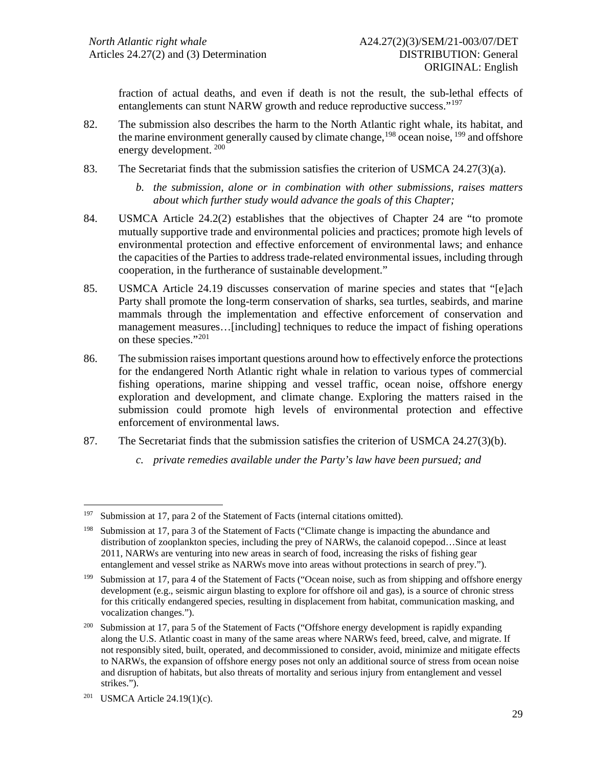fraction of actual deaths, and even if death is not the result, the sub-lethal effects of entanglements can stunt NARW growth and reduce reproductive success."<sup>[197](#page-28-0)</sup>

- 82. The submission also describes the harm to the North Atlantic right whale, its habitat, and the marine environment generally caused by climate change,  $198$  ocean noise,  $199$  and offshore energy development. <sup>[200](#page-28-3)</sup>
- 83. The Secretariat finds that the submission satisfies the criterion of USMCA 24.27(3)(a).
	- *b. the submission, alone or in combination with other submissions, raises matters about which further study would advance the goals of this Chapter;*
- 84. USMCA Article 24.2(2) establishes that the objectives of Chapter 24 are "to promote mutually supportive trade and environmental policies and practices; promote high levels of environmental protection and effective enforcement of environmental laws; and enhance the capacities of the Parties to address trade-related environmental issues, including through cooperation, in the furtherance of sustainable development."
- 85. USMCA Article 24.19 discusses conservation of marine species and states that "[e]ach Party shall promote the long-term conservation of sharks, sea turtles, seabirds, and marine mammals through the implementation and effective enforcement of conservation and management measures…[including] techniques to reduce the impact of fishing operations on these species."[201](#page-28-4)
- 86. The submission raises important questions around how to effectively enforce the protections for the endangered North Atlantic right whale in relation to various types of commercial fishing operations, marine shipping and vessel traffic, ocean noise, offshore energy exploration and development, and climate change. Exploring the matters raised in the submission could promote high levels of environmental protection and effective enforcement of environmental laws.
- 87. The Secretariat finds that the submission satisfies the criterion of USMCA 24.27(3)(b).
	- *c. private remedies available under the Party's law have been pursued; and*

<span id="page-28-0"></span><sup>&</sup>lt;sup>197</sup> Submission at 17, para 2 of the Statement of Facts (internal citations omitted).

<span id="page-28-1"></span><sup>198</sup> Submission at 17, para 3 of the Statement of Facts ("Climate change is impacting the abundance and distribution of zooplankton species, including the prey of NARWs, the calanoid copepod…Since at least 2011, NARWs are venturing into new areas in search of food, increasing the risks of fishing gear entanglement and vessel strike as NARWs move into areas without protections in search of prey.").

<span id="page-28-2"></span><sup>199</sup> Submission at 17, para 4 of the Statement of Facts ("Ocean noise, such as from shipping and offshore energy development (e.g., seismic airgun blasting to explore for offshore oil and gas), is a source of chronic stress for this critically endangered species, resulting in displacement from habitat, communication masking, and vocalization changes.").

<span id="page-28-3"></span><sup>&</sup>lt;sup>200</sup> Submission at 17, para 5 of the Statement of Facts ("Offshore energy development is rapidly expanding along the U.S. Atlantic coast in many of the same areas where NARWs feed, breed, calve, and migrate. If not responsibly sited, built, operated, and decommissioned to consider, avoid, minimize and mitigate effects to NARWs, the expansion of offshore energy poses not only an additional source of stress from ocean noise and disruption of habitats, but also threats of mortality and serious injury from entanglement and vessel strikes.").

<span id="page-28-4"></span><sup>&</sup>lt;sup>201</sup> USMCA Article  $24.19(1)(c)$ .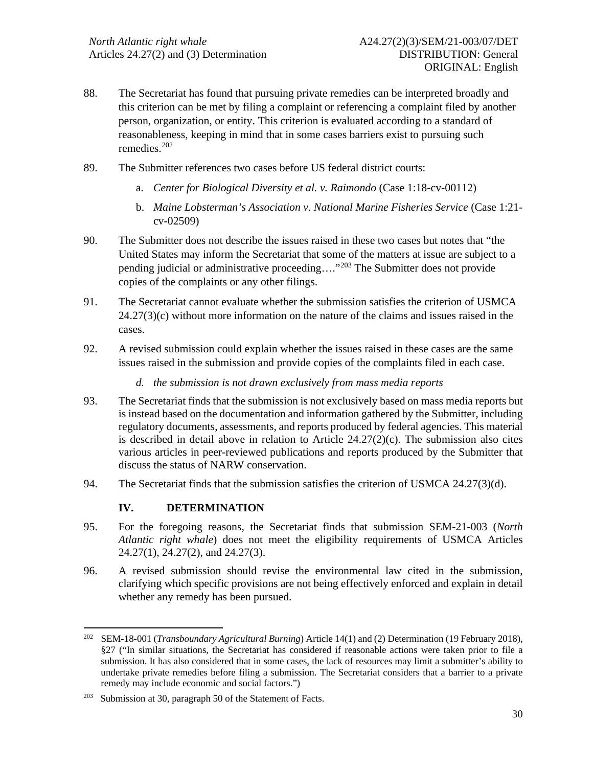- 88. The Secretariat has found that pursuing private remedies can be interpreted broadly and this criterion can be met by filing a complaint or referencing a complaint filed by another person, organization, or entity. This criterion is evaluated according to a standard of reasonableness, keeping in mind that in some cases barriers exist to pursuing such remedies<sup>[202](#page-29-0)</sup>
- 89. The Submitter references two cases before US federal district courts:
	- a. *Center for Biological Diversity et al. v. Raimondo* (Case 1:18-cv-00112)
	- b. *Maine Lobsterman's Association v. National Marine Fisheries Service* (Case 1:21 cv-02509)
- 90. The Submitter does not describe the issues raised in these two cases but notes that "the United States may inform the Secretariat that some of the matters at issue are subject to a pending judicial or administrative proceeding…."[203](#page-29-1) The Submitter does not provide copies of the complaints or any other filings.
- 91. The Secretariat cannot evaluate whether the submission satisfies the criterion of USMCA  $24.27(3)(c)$  without more information on the nature of the claims and issues raised in the cases.
- 92. A revised submission could explain whether the issues raised in these cases are the same issues raised in the submission and provide copies of the complaints filed in each case.
	- *d. the submission is not drawn exclusively from mass media reports*
- 93. The Secretariat finds that the submission is not exclusively based on mass media reports but is instead based on the documentation and information gathered by the Submitter, including regulatory documents, assessments, and reports produced by federal agencies. This material is described in detail above in relation to Article  $24.27(2)(c)$ . The submission also cites various articles in peer-reviewed publications and reports produced by the Submitter that discuss the status of NARW conservation.
- 94. The Secretariat finds that the submission satisfies the criterion of USMCA 24.27(3)(d).

# **IV. DETERMINATION**

- 95. For the foregoing reasons, the Secretariat finds that submission SEM-21-003 (*North Atlantic right whale*) does not meet the eligibility requirements of USMCA Articles 24.27(1), 24.27(2), and 24.27(3).
- 96. A revised submission should revise the environmental law cited in the submission, clarifying which specific provisions are not being effectively enforced and explain in detail whether any remedy has been pursued.

<span id="page-29-0"></span><sup>202</sup> SEM-18-001 (*Transboundary Agricultural Burning*) Article 14(1) and (2) Determination (19 February 2018), §27 ("In similar situations, the Secretariat has considered if reasonable actions were taken prior to file a submission. It has also considered that in some cases, the lack of resources may limit a submitter's ability to undertake private remedies before filing a submission. The Secretariat considers that a barrier to a private remedy may include economic and social factors.")

<span id="page-29-1"></span><sup>203</sup> Submission at 30, paragraph 50 of the Statement of Facts.